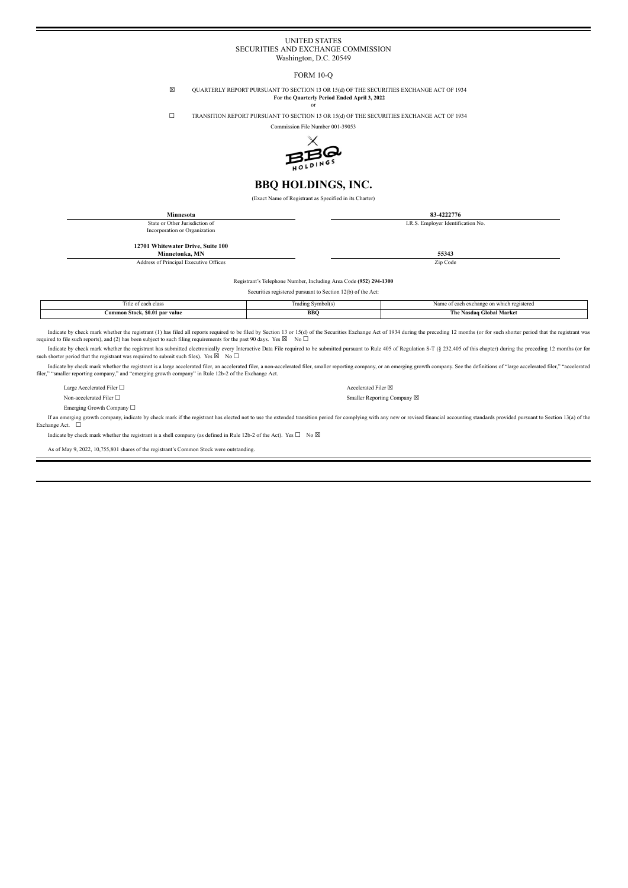#### UNITED STATES SECURITIES AND EXCHANGE COMMISSION Washington, D.C. 20549

#### FORM 10-Q

☒ QUARTERLY REPORT PURSUANT TO SECTION 13 OR 15(d) OF THE SECURITIES EXCHANGE ACT OF 1934 **For the Quarterly Period Ended April 3, 2022**

or

☐ TRANSITION REPORT PURSUANT TO SECTION 13 OR 15(d) OF THE SECURITIES EXCHANGE ACT OF 1934

Commission File Number 001-39053



### **BBQ HOLDINGS, INC.**

(Exact Name of Registrant as Specified in its Charter)

| <b>Minnesota</b>                       | 83-4222776                         |
|----------------------------------------|------------------------------------|
| State or Other Jurisdiction of         | I.R.S. Employer Identification No. |
| Incorporation or Organization          |                                    |
|                                        |                                    |
| 12701 Whitewater Drive, Suite 100      |                                    |
| Minnetonka, MN                         | 55343                              |
| Address of Principal Executive Offices | Zip Code                           |

Registrant's Telephone Number, Including Area Code **(952) 294-1300**

Securities registered pursuant to Section 12(b) of the Act:

| l'itle of each class                | Trading Symbol(s) | Name of each exchange on which registered |
|-------------------------------------|-------------------|-------------------------------------------|
| Common Stock, \$0.01 par value<br>. | BBC               | The Nasdaq Global Market                  |

Indicate by check mark whether the registrant (1) has filed all reports required to be filed by Section 13 or 15(d) of the Securities Exchange Act of 1934 during the preceding 12 months (or for such shorter period that the required to file such reports), and (2) has been subject to such filing requirements for the past 90 days. Yes  $\boxtimes$  No  $\Box$ 

Indicate by check mark whether the registrant has submitted electronically every Interactive Data File required to be submitted pursuant to Rule 405 of Regulation S-T (§ 232.405 of this chapter) during the preceding 12 mon such shorter period that the registrant was required to submit such files). Yes  $\boxtimes$  No  $\Box$ 

Indicate by check mark whether the registrant is a large accelerated filer, an accelerated filer, an an-accelerated filer, smaller reporting company, or an emerging growth company. See the definitions of "large accelerated

Large Accelerated Filer  $□$ 

Non-accelerated Filer □ Smaller Reporting Company ⊠

Emerging Growth Company ☐

If an emerging growth company, indicate by check mark if the registrant has elected not to use the extended transition period for complying with any new or revised financial accounting standards provided pursuant to Sectio Exchange Act. □

Indicate by check mark whether the registrant is a shell company (as defined in Rule 12b-2 of the Act). Yes  $\square$  No  $\boxtimes$ 

As of May 9, 2022, 10,755,801 shares of the registrant's Common Stock were outstanding.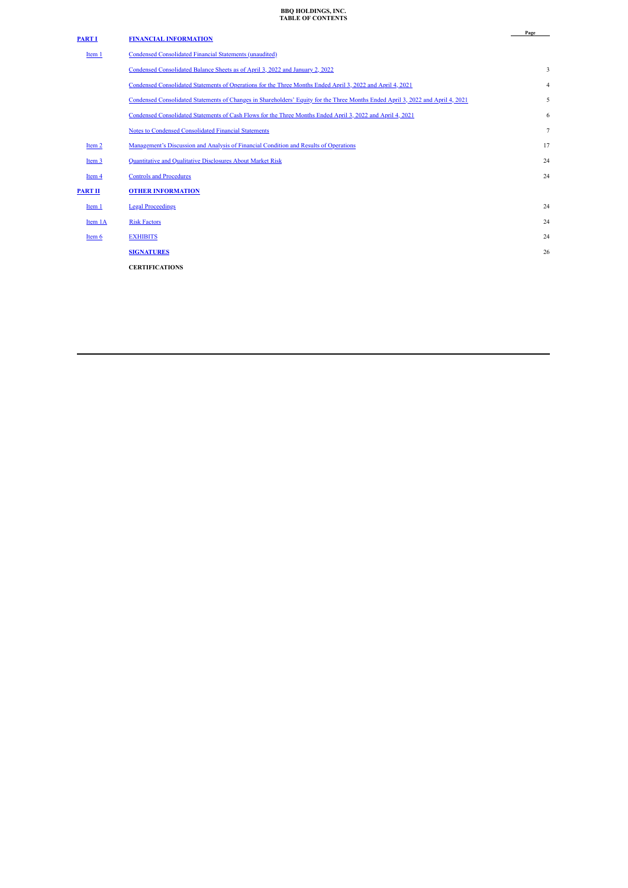### **BBQ HOLDINGS, INC. TABLE OF CONTENTS**

<span id="page-1-0"></span>

| <b>PART I</b>     | <b>FINANCIAL INFORMATION</b>                                                                                                    | Page           |
|-------------------|---------------------------------------------------------------------------------------------------------------------------------|----------------|
| Item <sub>1</sub> | <b>Condensed Consolidated Financial Statements (unaudited)</b>                                                                  |                |
|                   | Condensed Consolidated Balance Sheets as of April 3, 2022 and January 2, 2022                                                   | 3              |
|                   | Condensed Consolidated Statements of Operations for the Three Months Ended April 3, 2022 and April 4, 2021                      | $\overline{4}$ |
|                   | Condensed Consolidated Statements of Changes in Shareholders' Equity for the Three Months Ended April 3, 2022 and April 4, 2021 | 5              |
|                   | Condensed Consolidated Statements of Cash Flows for the Three Months Ended April 3, 2022 and April 4, 2021                      | 6              |
|                   | <b>Notes to Condensed Consolidated Financial Statements</b>                                                                     | $\overline{7}$ |
| Item 2            | Management's Discussion and Analysis of Financial Condition and Results of Operations                                           | 17             |
| Item 3            | Quantitative and Qualitative Disclosures About Market Risk                                                                      | 24             |
| Item 4            | <b>Controls and Procedures</b>                                                                                                  | 24             |
| <b>PART II</b>    | <b>OTHER INFORMATION</b>                                                                                                        |                |
| Item 1            | <b>Legal Proceedings</b>                                                                                                        | 24             |
| Item 1A           | <b>Risk Factors</b>                                                                                                             | 24             |
| Item 6            | <b>EXHIBITS</b>                                                                                                                 | 24             |
|                   | <b>SIGNATURES</b>                                                                                                               | 26             |
|                   | <b>CERTIFICATIONS</b>                                                                                                           |                |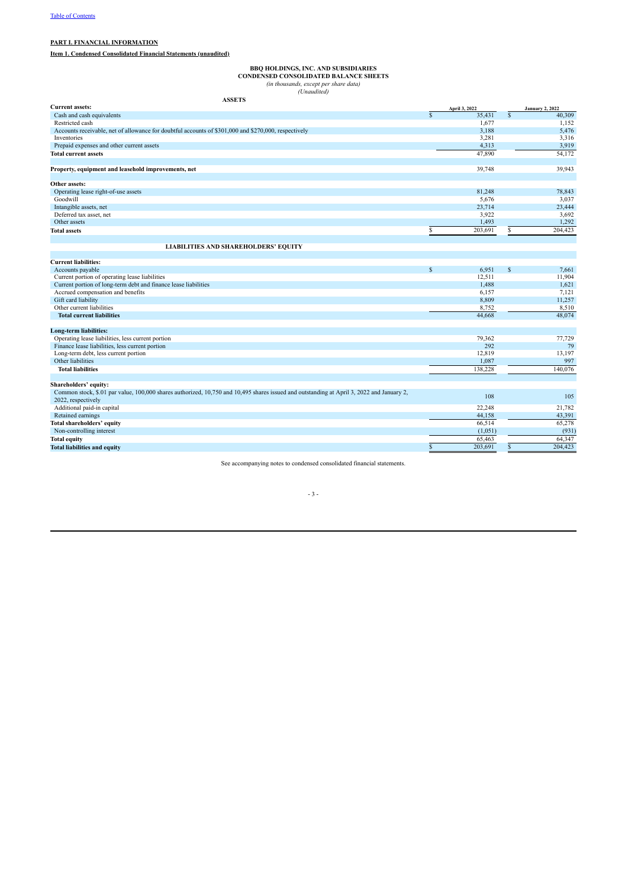#### <span id="page-2-0"></span>**PART I. FINANCIAL INFORMATION**

<span id="page-2-1"></span>**Item 1. Condensed Consolidated Financial Statements (unaudited)**

**BBQ HOLDINGS, INC. AND SUBSIDIARIES**<br>CONDENSED CONSOLIDATED BALANCE SHEETS<br>(in thousands, except per share data)<br>(Unaudited)

<span id="page-2-2"></span>

| <b>ASSETS</b>                                                                                                                                                   |             |               |                         |                        |
|-----------------------------------------------------------------------------------------------------------------------------------------------------------------|-------------|---------------|-------------------------|------------------------|
| <b>Current assets:</b>                                                                                                                                          |             | April 3, 2022 |                         | <b>January 2, 2022</b> |
| Cash and cash equivalents                                                                                                                                       | $\mathbf S$ | 35,431        | $\overline{\mathbb{S}}$ | 40,309                 |
| Restricted cash                                                                                                                                                 |             | 1,677         |                         | 1,152                  |
| Accounts receivable, net of allowance for doubtful accounts of \$301,000 and \$270,000, respectively                                                            |             | 3,188         |                         | 5,476                  |
| Inventories                                                                                                                                                     |             | 3,281         |                         | 3,316                  |
| Prepaid expenses and other current assets                                                                                                                       |             | 4,313         |                         | 3,919                  |
| <b>Total current assets</b>                                                                                                                                     |             | 47,890        |                         | 54,172                 |
| Property, equipment and leasehold improvements, net                                                                                                             |             | 39,748        |                         | 39,943                 |
| Other assets:                                                                                                                                                   |             |               |                         |                        |
| Operating lease right-of-use assets                                                                                                                             |             | 81,248        |                         | 78,843                 |
| Goodwill                                                                                                                                                        |             | 5,676         |                         | 3,037                  |
| Intangible assets, net                                                                                                                                          |             | 23,714        |                         | 23,444                 |
| Deferred tax asset, net                                                                                                                                         |             | 3,922         |                         | 3,692                  |
| Other assets                                                                                                                                                    |             | 1,493         |                         | 1,292                  |
| <b>Total assets</b>                                                                                                                                             |             | 203,691       | \$                      | 204,423                |
| <b>LIABILITIES AND SHAREHOLDERS' EQUITY</b>                                                                                                                     |             |               |                         |                        |
| <b>Current liabilities:</b>                                                                                                                                     |             |               |                         |                        |
| Accounts payable                                                                                                                                                | \$          | 6,951         | \$                      | 7,661                  |
| Current portion of operating lease liabilities                                                                                                                  |             | 12.511        |                         | 11,904                 |
| Current portion of long-term debt and finance lease liabilities                                                                                                 |             | 1.488         |                         | 1,621                  |
| Accrued compensation and benefits                                                                                                                               |             | 6.157         |                         | 7,121                  |
| Gift card liability                                                                                                                                             |             | 8,809         |                         | 11,257                 |
| Other current liabilities                                                                                                                                       |             | 8,752         |                         | 8,510                  |
| <b>Total current liabilities</b>                                                                                                                                |             | 44,668        |                         | 48,074                 |
| Long-term liabilities:                                                                                                                                          |             |               |                         |                        |
| Operating lease liabilities, less current portion                                                                                                               |             | 79,362        |                         | 77,729                 |
| Finance lease liabilities, less current portion                                                                                                                 |             | 292           |                         | 79                     |
| Long-term debt, less current portion                                                                                                                            |             | 12,819        |                         | 13,197                 |
| Other liabilities                                                                                                                                               |             | 1,087         |                         | 997                    |
| <b>Total liabilities</b>                                                                                                                                        |             | 138,228       |                         | 140.076                |
|                                                                                                                                                                 |             |               |                         |                        |
| Shareholders' equity:                                                                                                                                           |             |               |                         |                        |
| Common stock, \$.01 par value, 100,000 shares authorized, 10,750 and 10,495 shares issued and outstanding at April 3, 2022 and January 2,<br>2022, respectively |             | 108           |                         | 105                    |
| Additional paid-in capital                                                                                                                                      |             | 22,248        |                         | 21,782                 |
| Retained earnings                                                                                                                                               |             | 44,158        |                         | 43,391                 |
| Total shareholders' equity                                                                                                                                      |             | 66,514        |                         | 65,278                 |
| Non-controlling interest                                                                                                                                        |             | (1,051)       |                         | (931)                  |
| <b>Total equity</b>                                                                                                                                             |             | 65,463        |                         | 64.347                 |
| <b>Total liabilities and equity</b>                                                                                                                             |             | 203,691       | \$                      | 204,423                |

See accompanying notes to condensed consolidated financial statements.

#### - 3 -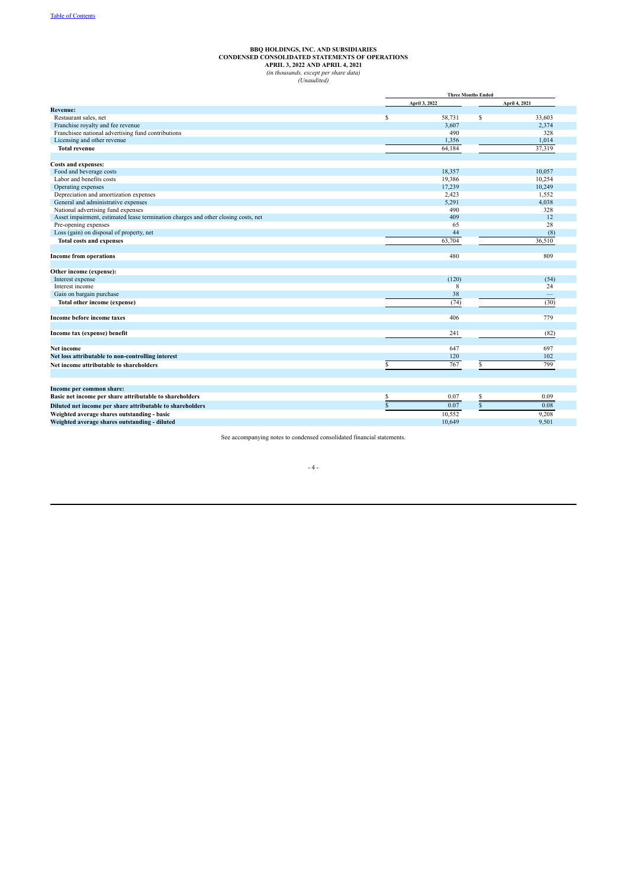# BBQ HOLDINGS, INC. AND SUBSIDIARIES<br>CONDENSED CONSOLIDATED STATEMENTS OF OPERATIONS<br>APRIL 3, 2022 AND APRIL 4, 2021<br>(in thousands, except per share data)<br>(Unaudited)

<span id="page-3-0"></span>

|                                                                                    |    | <b>Three Months Ended</b> |               |                   |  |  |
|------------------------------------------------------------------------------------|----|---------------------------|---------------|-------------------|--|--|
|                                                                                    |    | April 3, 2022             | April 4, 2021 |                   |  |  |
| <b>Revenue:</b>                                                                    |    |                           |               |                   |  |  |
| Restaurant sales, net                                                              | S  | 58,731                    | \$            | 33,603            |  |  |
| Franchise royalty and fee revenue                                                  |    | 3,607                     |               | 2,374             |  |  |
| Franchisee national advertising fund contributions                                 |    | 490                       |               | 328               |  |  |
| Licensing and other revenue                                                        |    | 1,356                     |               | 1,014             |  |  |
| <b>Total revenue</b>                                                               |    | 64,184                    |               | 37,319            |  |  |
| Costs and expenses:                                                                |    |                           |               |                   |  |  |
| Food and beverage costs                                                            |    | 18,357                    |               | 10.057            |  |  |
| Labor and benefits costs                                                           |    | 19,386                    |               | 10,254            |  |  |
| Operating expenses                                                                 |    | 17,239                    |               | 10,249            |  |  |
| Depreciation and amortization expenses                                             |    | 2,423                     |               | 1,552             |  |  |
| General and administrative expenses                                                |    | 5,291                     |               | 4,038             |  |  |
| National advertising fund expenses                                                 |    | 490                       |               | 328               |  |  |
| Asset impairment, estimated lease termination charges and other closing costs, net |    | 409                       |               | 12                |  |  |
| Pre-opening expenses                                                               |    | 65                        |               | 28                |  |  |
| Loss (gain) on disposal of property, net                                           |    | 44                        |               | (8)               |  |  |
| <b>Total costs and expenses</b>                                                    |    | 63,704                    |               | 36,510            |  |  |
| <b>Income from operations</b>                                                      |    | 480                       |               | 809               |  |  |
| Other income (expense):                                                            |    |                           |               |                   |  |  |
| Interest expense                                                                   |    | (120)                     |               | (54)              |  |  |
| Interest income                                                                    |    | 8                         |               | 24                |  |  |
| Gain on bargain purchase                                                           |    | 38                        |               | $\qquad \qquad -$ |  |  |
| Total other income (expense)                                                       |    | (74)                      |               | (30)              |  |  |
| Income before income taxes                                                         |    | 406                       |               | 779               |  |  |
| Income tax (expense) benefit                                                       |    | 241                       |               | (82)              |  |  |
| Net income                                                                         |    | 647                       |               | 697               |  |  |
| Net loss attributable to non-controlling interest                                  |    | 120                       |               | 102               |  |  |
| Net income attributable to shareholders                                            | S  | 767                       | S.            | 799               |  |  |
|                                                                                    |    |                           |               |                   |  |  |
| Income per common share:                                                           |    |                           |               |                   |  |  |
| Basic net income per share attributable to shareholders                            | S  | 0.07                      | \$            | 0.09              |  |  |
| Diluted net income per share attributable to shareholders                          | \$ | 0.07                      | \$            | 0.08              |  |  |
| Weighted average shares outstanding - basic                                        |    | 10,552                    |               | 9,208             |  |  |
| Weighted average shares outstanding - diluted                                      |    | 10.649                    |               | 9.501             |  |  |
|                                                                                    |    |                           |               |                   |  |  |

See accompanying notes to condensed consolidated financial statements.

#### - 4 -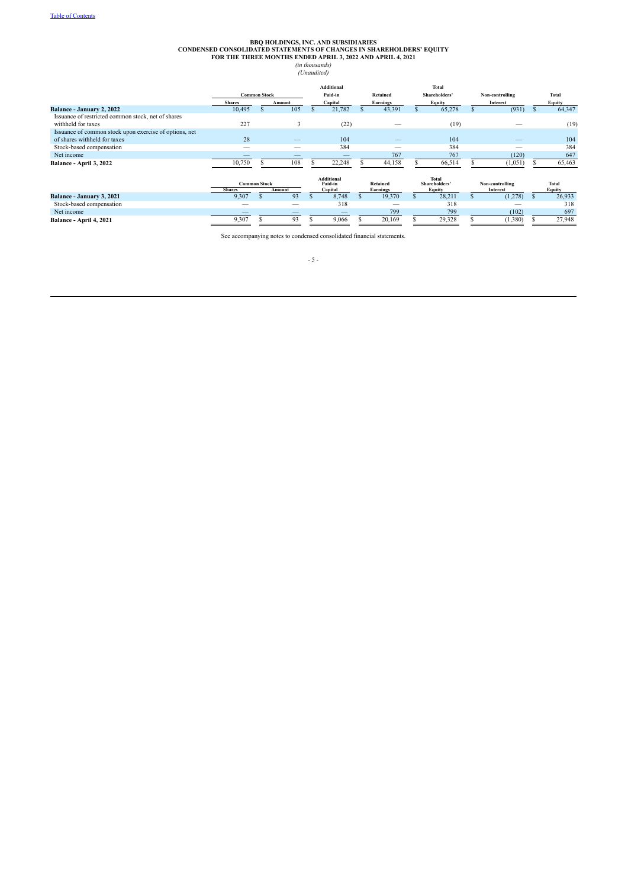## BBQ HOLDINGS, INC. AND SUBSIDIARIES<br>CONDENSED CONSOLIDATED STATEMENTS OF CHANGES IN SHAREHOLDERS' EQUITY<br>FOR THE THREE MONTHS ENDED APRIL 3, 2022 AND APRIL 4, 2021<br>(*In thousands*)<br>(*Unaudited*)

<span id="page-4-0"></span>

|                                                                                        | <b>Common Stock</b><br><b>Shares</b><br>Amount |                     |                          | <b>Additional</b><br>Paid-in<br>Capital |  | <b>Retained</b><br>Earnings | Total<br>Shareholders'<br>Equity        |  | Non-controlling<br>Interest |  | <b>Total</b><br>Equity |
|----------------------------------------------------------------------------------------|------------------------------------------------|---------------------|--------------------------|-----------------------------------------|--|-----------------------------|-----------------------------------------|--|-----------------------------|--|------------------------|
| Balance - January 2, 2022                                                              | 10,495                                         |                     | 105                      | 21,782                                  |  | 43,391                      | 65,278                                  |  | (931)                       |  | 64,347                 |
| Issuance of restricted common stock, net of shares<br>withheld for taxes               | 227                                            |                     | ÷,                       | (22)                                    |  |                             | (19)                                    |  |                             |  | (19)                   |
| Issuance of common stock upon exercise of options, net<br>of shares withheld for taxes | 28                                             |                     | $\overline{\phantom{a}}$ | 104                                     |  |                             | 104                                     |  | _                           |  | 104                    |
| Stock-based compensation                                                               |                                                |                     |                          | 384                                     |  | $-$                         | 384                                     |  |                             |  | 384                    |
| Net income                                                                             |                                                |                     |                          |                                         |  | 767                         | 767                                     |  | (120)                       |  | 647                    |
| Balance - April 3, 2022                                                                | 10,750                                         |                     | 108                      | 22,248                                  |  | 44,158                      | 66,514                                  |  | (1,051)                     |  | 65,463                 |
|                                                                                        | <b>Shares</b>                                  | <b>Common Stock</b> | Amount                   | <b>Additional</b><br>Paid-in<br>Capital |  | <b>Retained</b><br>Earnings | <b>Total</b><br>Shareholders'<br>Equity |  | Non-controlling<br>Interest |  | <b>Total</b><br>Equity |
| Balance - January 3, 2021                                                              | 9,307                                          |                     | 93                       | 8,748                                   |  | 19,370                      | 28,211                                  |  | (1,278)                     |  | 26,933                 |
| Stock-based compensation                                                               | -                                              |                     | $\overline{\phantom{a}}$ | 318                                     |  | $\overline{\phantom{a}}$    | 318                                     |  | -                           |  | 318                    |
| Net income                                                                             |                                                |                     |                          |                                         |  | 799                         | 799                                     |  | (102)                       |  | 697                    |
| Balance - April 4, 2021                                                                | 9,307                                          |                     | 93                       | 9,066                                   |  | 20,169                      | 29,328                                  |  | (1,380)                     |  | 27,948                 |

See accompanying notes to condensed consolidated financial statements.

- 5 -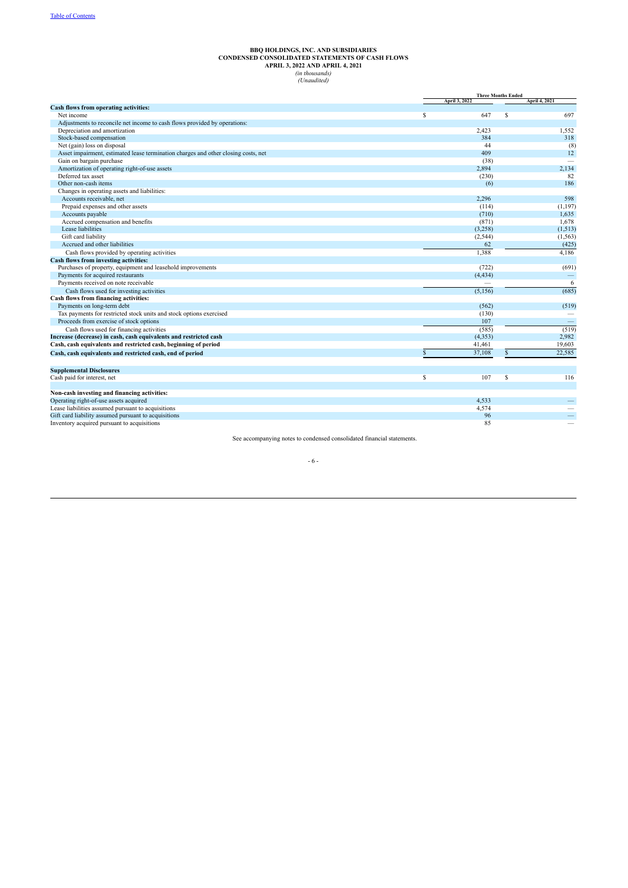# BBQ HOLDINGS, INC. AND SUBSIDIARIES<br>CONDENSED CONSOLIDATED STATEMENTS OF CASH FLOWS<br>APRIL 3, 2022 AND APRIL 4, 2021<br>(*in thousands*)<br>(*Unaudited*)

<span id="page-5-0"></span>

|                                                                                    |    | <b>Three Months Ended</b> |              |                      |  |
|------------------------------------------------------------------------------------|----|---------------------------|--------------|----------------------|--|
|                                                                                    |    | April 3, 2022             |              | <b>April 4, 2021</b> |  |
| Cash flows from operating activities:                                              |    |                           |              |                      |  |
| Net income                                                                         | S  | 647                       | S            | 697                  |  |
| Adjustments to reconcile net income to cash flows provided by operations:          |    |                           |              |                      |  |
| Depreciation and amortization                                                      |    | 2,423                     |              | 1,552                |  |
| Stock-based compensation                                                           |    | 384                       |              | 318                  |  |
| Net (gain) loss on disposal                                                        |    | 44                        |              | (8)                  |  |
| Asset impairment, estimated lease termination charges and other closing costs, net |    | 409                       |              | 12                   |  |
| Gain on bargain purchase                                                           |    | (38)                      |              |                      |  |
| Amortization of operating right-of-use assets                                      |    | 2,894                     |              | 2,134                |  |
| Deferred tax asset                                                                 |    | (230)                     |              | 82                   |  |
| Other non-cash items                                                               |    | (6)                       |              | 186                  |  |
| Changes in operating assets and liabilities:                                       |    |                           |              |                      |  |
| Accounts receivable, net                                                           |    | 2,296                     |              | 598                  |  |
| Prepaid expenses and other assets                                                  |    | (114)                     |              | (1, 197)             |  |
| Accounts payable                                                                   |    | (710)                     |              | 1,635                |  |
| Accrued compensation and benefits                                                  |    | (871)                     |              | 1,678                |  |
| Lease liabilities                                                                  |    | (3,258)                   |              | (1, 513)             |  |
| Gift card liability                                                                |    | (2, 544)                  |              | (1, 563)             |  |
| Accrued and other liabilities                                                      |    | 62                        |              | (425)                |  |
| Cash flows provided by operating activities                                        |    | 1,388                     |              | 4,186                |  |
| Cash flows from investing activities:                                              |    |                           |              |                      |  |
| Purchases of property, equipment and leasehold improvements                        |    | (722)                     |              | (691)                |  |
| Payments for acquired restaurants                                                  |    | (4, 434)                  |              |                      |  |
| Payments received on note receivable                                               |    |                           |              | 6                    |  |
| Cash flows used for investing activities                                           |    | (5, 156)                  |              | (685)                |  |
| Cash flows from financing activities:                                              |    |                           |              |                      |  |
| Payments on long-term debt                                                         |    | (562)                     |              | (519)                |  |
| Tax payments for restricted stock units and stock options exercised                |    | (130)                     |              |                      |  |
| Proceeds from exercise of stock options                                            |    | 107                       |              | $\qquad \qquad -$    |  |
| Cash flows used for financing activities                                           |    | (585)                     |              | (519)                |  |
| Increase (decrease) in cash, cash equivalents and restricted cash                  |    | (4, 353)                  |              | 2,982                |  |
| Cash, cash equivalents and restricted cash, beginning of period                    |    | 41,461                    |              | 19,603               |  |
|                                                                                    | S  | 37,108                    | $\mathbb{S}$ | 22,585               |  |
| Cash, cash equivalents and restricted cash, end of period                          |    |                           |              |                      |  |
| <b>Supplemental Disclosures</b>                                                    |    |                           |              |                      |  |
| Cash paid for interest, net                                                        | \$ | 107                       | \$           | 116                  |  |
| Non-cash investing and financing activities:                                       |    |                           |              |                      |  |
| Operating right-of-use assets acquired                                             |    | 4.533                     |              |                      |  |
| Lease liabilities assumed pursuant to acquisitions                                 |    | 4,574                     |              |                      |  |
| Gift card liability assumed pursuant to acquisitions                               |    | 96                        |              |                      |  |
| Inventory acquired pursuant to acquisitions                                        |    | 85                        |              |                      |  |

See accompanying notes to condensed consolidated financial statements.

#### - 6 -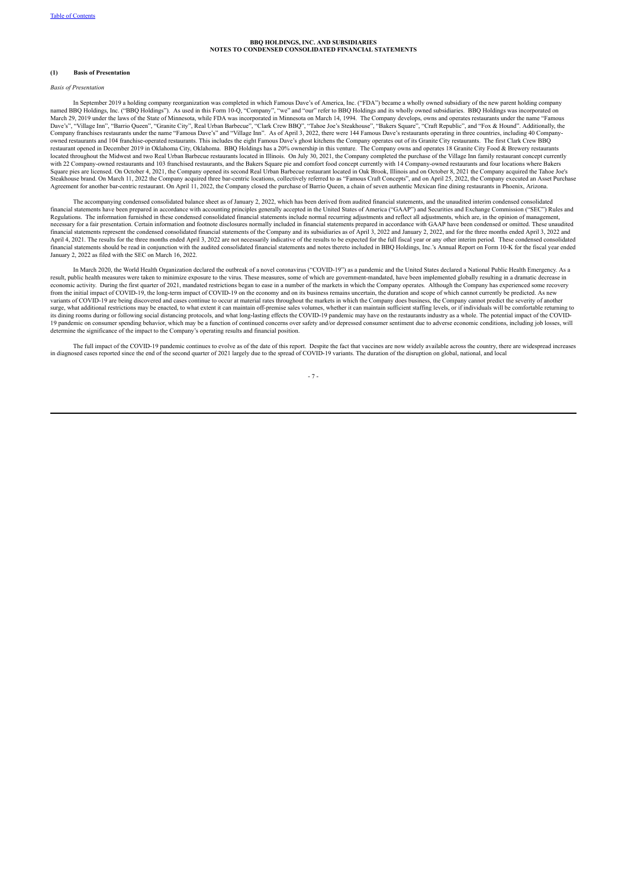#### <span id="page-6-0"></span>**(1) Basis of Presentation**

#### *Basis of Presentation*

In September 2019 a holding company reorganization was completed in which Famous Dave's of America, Inc. ("FDA") became a wholly owned subsidiary of the new parent holding company named BBQ Holdings, Inc. ("BBQ Holdings"). As used in this Form 10-Q, "Company", "we" and "our" refer to BBQ Holdings and its wholly owned subsidiaries. BBQ Holdings was incorporated on<br>March 29, 2019 under the laws of the Dave's", "Village Inn", "Barrio Queen", "Granite City", Real Urban Barbecue", "Clark Crew BBQ", "Tahoe Joe's Steakhouse", "Bakers Square", "Craft Republic", and "Fox & Hound". Additionally, the<br>Company franchises restauran owned restaurants and 104 franchise-operated restaurants. This includes the eight Famous Dave's ghost kitchens the Company operates out of its Granite City restaurants. The first Clark Crew BBQ restaurant opened in December 2019 in Oklahoma City, Oklahoma. BBQ Holdings has a 20% ownership in this venture. The Company owns and operates 18 Granite City Food & Brewery restaurants located throughout the Midwest and two Real Urban Barbecue restaurants located in Illinois. On July 30, 2021, the Company completed the purchase of the Village Inn family restaurant concept currently with 22 Company-owned restaurants and 103 franchised restaurants, and the Bakers Square pie and comfort food concept currently with 14 Company-owned restaurants and four locations where Bakers Square pies are licensed. On October 4, 2021, the Company opened its second Real Urban Barbecue restaurant located in Oak Brook, Illinois and on October 8, 2021 the Company acquired the Tahoe Joe's<br>Steakhouse brand. On Mar

The accompanying condensed consolidated balance sheet as of January 2, 2022, which has been derived from audited financial statements, and the unaudited interim condensed consolidated financial statements have been prepared in accordance with accounting principles generally accepted in the United States of America ("GAAP") and Securities and Exchange Commission ("SEC") Rules and<br>Regulations. The informa necessary for a fair presentation. Certain information and footnote disclosures normally included in financial statements prepared in accordance with GAAP have been condensed or omitted. These unaudited financial statements represent the condensed consolidated financial statements of the Company and its subsidiaries as of April 3, 2022 and January 2, 2022, and for the three months ended April 3, 2022 and April 4, 2021. The results for the three months ended April 3, 2022 are not necessarily indicative of the results to be expected for the full fiscal year or any other interim period. These condensed consolidated April 3, 2 financial statements should be read in conjunction with the audited consolidated financial statements and notes thereto included in BBQ Holdings, Inc.'s Annual Report on Form 10-K for the fiscal year ended January 2, 2022 as filed with the SEC on March 16, 2022.

In March 2020, the World Health Organization declared the outbreak of a novel coronavirus ("COVID-19") as a pandemic and the United States declared a National Public Health Emergency. As a result, public health measures were taken to minimize exposure to the virus. These measures, some of which are government-mandated, have been implemented globally resulting in a dramatic decrease in<br>economic activity. Duri from the initial impact of COVID-19, the long-term impact of COVID-19 on the economy and on its business remains uncertain, the duration and scope of which cannot currently be predicted. As new variants of COVID-19 are being discovered and cases continue to occur at material rates throughout the markets in which the Company does business, the Company cannot predict the severity of another<br>surge, what additional r its dining rooms during or following social distancing protocols, and what long-lasting effects the COVID-19 pandemic may have on the restaurants industry as a whole. The potential impact of the COVID-<br>19 pandemic on consu determine the significance of the impact to the Company's operating results and financial position.

The full impact of the COVID-19 pandemic continues to evolve as of the date of this report. Despite the fact that vaccines are now widely available across the country, there are widespread increases in diagnosed cases reported since the end of the second quarter of 2021 largely due to the spread of COVID-19 variants. The duration of the disruption on global, national, and local

- 7 -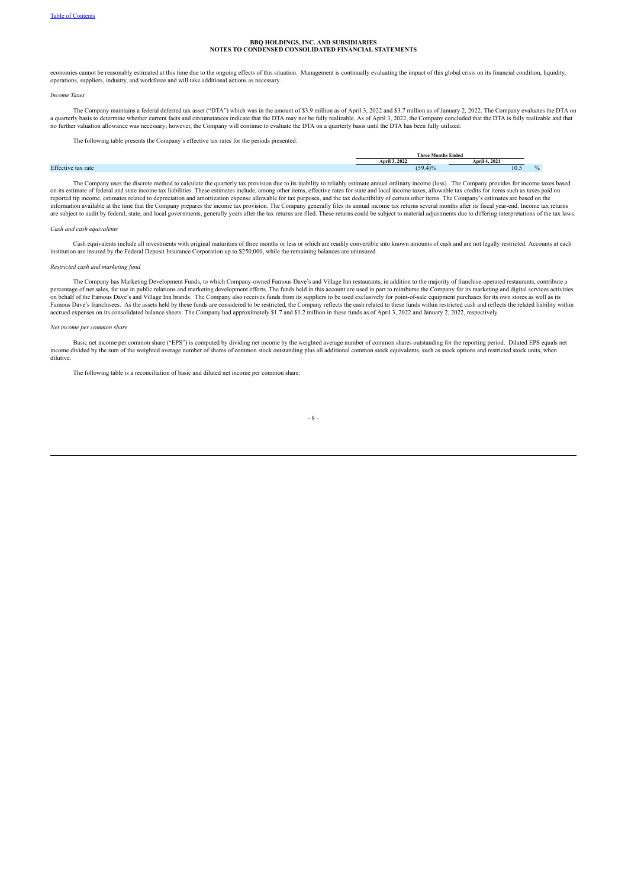economies cannot be reasonably estimated at this time due to the ongoing effects of this situation. Management is continually evaluating the impact of this global crisis on its financial condition, liquidity, operations, s

#### *Income Taxes*

The Company maintains a federal deferred tax asset ("DTA") which was in the amount of \$3.9 million as of April 3, 2022 and \$3.7 million as of January 2, 2022. The Company evaluates the DTA on<br>a quarterly basis to determine no further valuation allowance was necessary; however, the Company will continue to evaluate the DTA on a quarterly basis until the DTA has been fully utilized.

The following table presents the Company's effective tax rates for the periods presented:

|                                 | : Months Ended<br>Three |        |  |  |
|---------------------------------|-------------------------|--------|--|--|
|                                 | April 3, 2022           | 4.2021 |  |  |
| <b>Effect</b><br>: tax rate<br> | (50.4)0.4               | 10.5   |  |  |
|                                 |                         |        |  |  |

The Company uses the discrete method to calculate the quarterly tax provision due to its inability to reliably estimate annual ordinary income (loss). The Company provides for income taxes based on its estimate of federal and state income tax liabilities. These estimates include, among other items, effective rates for state and local income taxes, allowable tax credits for items such as taxes paid on reported tip income, estimates related to depreciation and amortization expense allowable for tax purposes, and the tax deductibility of certain other items. The Company's estimates are based on the information available at the time that the Company prepares the income tax provision. The Company generally files its annual income tax returns several months after its fiscal year-end. Income tax returns<br>are subject to au

#### *Cash and cash equivalents*

Cash equivalents include all investments with original maturities of three months or less or which are readily convertible into known amounts of cash and are not legally restricted. Accounts at each institution are insured by the Federal Deposit Insurance Corporation up to \$250,000, while the remaining balances are uninsured.

#### *Restricted cash and marketing fund*

The Company has Marketing Development Funds, to which Company-owned Famous Dave's and Village Inn restaurants, in addition to the majority of franchise-operated restaurants, contribute a percentage of net sales, for use in public relations and marketing development efforts. The funds held in this account are used in part to reimburse the Company for its marketing and digital services activities<br>on behalf o Famous Dave's franchisees. As the assets held by these funds are considered to be restricted, the Company reflects the cash related to these funds within restricted cash and reflects the related in but in the related in an accrued expenses on its consolidated balance sheets. The Company had approximately \$1.7 and \$1.2 million in these funds as of April 3, 2022 and January 2, 2022, respectively.

#### *Net income per common share*

Basic net income per common share ("EPS") is computed by dividing net income by the weighted average number of common shares outstanding for the reporting period. Diluted EPS equals net income divided by the sum of the weighted average number of shares of common stock outstanding plus all additional common stock equivalents, such as stock options and restricted stock units, when dilutive.

The following table is a reconciliation of basic and diluted net income per common share:

#### - 8 -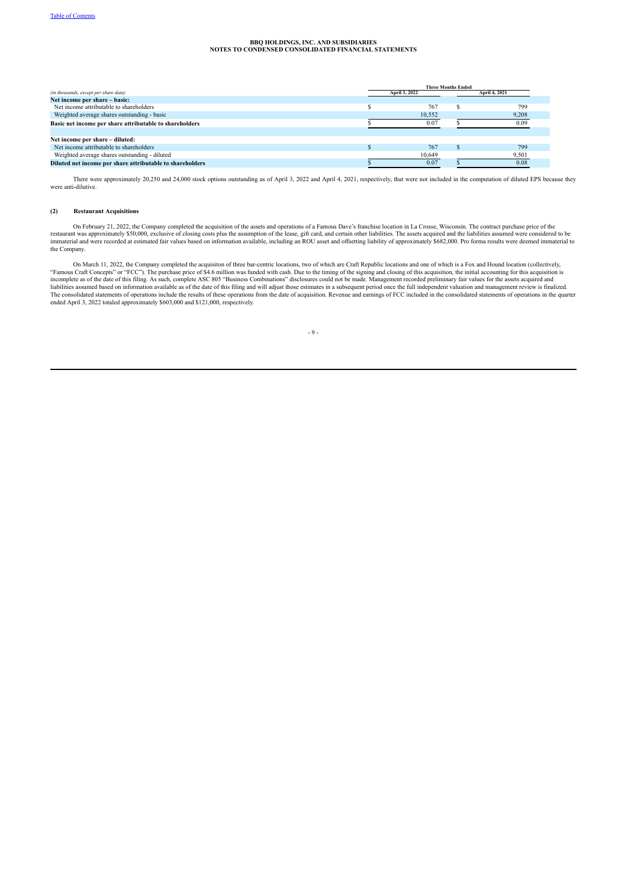| <b>Three Months Ended</b> |        |               |               |  |  |  |
|---------------------------|--------|---------------|---------------|--|--|--|
|                           |        |               | April 4, 2021 |  |  |  |
|                           |        |               |               |  |  |  |
|                           | 767    |               | 799           |  |  |  |
|                           | 10,552 |               | 9,208         |  |  |  |
|                           | 0.07   |               | 0.09          |  |  |  |
|                           |        |               |               |  |  |  |
|                           |        |               |               |  |  |  |
|                           | 767    |               | 799           |  |  |  |
|                           | 10,649 |               | 9,501         |  |  |  |
|                           | 0.07   |               | 0.08          |  |  |  |
|                           |        | April 3, 2022 |               |  |  |  |

There were approximately 20,250 and 24,000 stock options outstanding as of April 3, 2022 and April 4, 2021, respectively, that were not included in the computation of diluted EPS because they were anti-dilutive.

#### **(2) Restaurant Acquisitions**

On February 21, 2022, the Company completed the acquisition of the assets and operations of a Famous Dave's franchise location in La Crosse, Wisconsin. The contract purchase price of the<br>restaurant was approximately \$50,00 the Company.

On March 11, 2022, the Company completed the acquisiton of three bar-centric locations, two of which are Craft Republic locations and one of which is a Fox and Hound location (collectively, "Famous Craft Concepts" or "FCC"). The purchase price of \$4.6 million was funded with cash. Due to the timing of the signing and closing of this acquisition, the initial accounting for this acquisition is<br>incomplete as of

- 9 -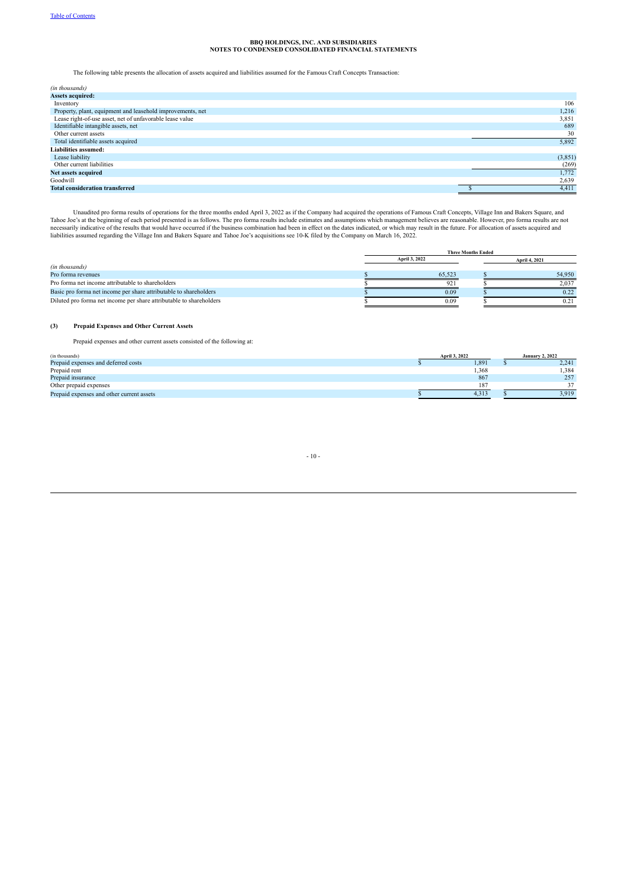The following table presents the allocation of assets acquired and liabilities assumed for the Famous Craft Concepts Transaction:

| (in thousands)                                             |         |
|------------------------------------------------------------|---------|
| <b>Assets acquired:</b>                                    |         |
| Inventory                                                  | 106     |
| Property, plant, equipment and leasehold improvements, net | 1,216   |
| Lease right-of-use asset, net of unfavorable lease value   | 3,851   |
| Identifiable intangible assets, net                        | 689     |
| Other current assets                                       | 30      |
| Total identifiable assets acquired                         | 5,892   |
| <b>Liabilities assumed:</b>                                |         |
| Lease liability                                            | (3,851) |
| Other current liabilities                                  | (269)   |
| Net assets acquired                                        | 1,772   |
| Goodwill                                                   | 2,639   |
| <b>Total consideration transferred</b>                     | 4,411   |

Unaudited pro forma results of operations for the three months ended April 3, 2022 as if the Company had acquired the operations of Famous Craft Concepts, Village Inn and Bakers Square, and<br>Tahoe Joe's at the beginning of

|                                                                     |               | <b>Three Months Ended</b> |  |               |
|---------------------------------------------------------------------|---------------|---------------------------|--|---------------|
|                                                                     | April 3, 2022 |                           |  | April 4, 2021 |
| (in thousands)                                                      |               |                           |  |               |
| Pro forma revenues                                                  |               | 65.523                    |  | 54.950        |
| Pro forma net income attributable to shareholders                   |               | 92                        |  | 2.037         |
| Basic pro forma net income per share attributable to shareholders   |               | 0.09                      |  | 0.22          |
| Diluted pro forma net income per share attributable to shareholders |               | 0.09                      |  |               |

#### **(3) Prepaid Expenses and Other Current Assets**

Prepaid expenses and other current assets consisted of the following at:

| (in thousands)                            | April 3, 2022 | <b>January 2, 2022</b> |       |  |
|-------------------------------------------|---------------|------------------------|-------|--|
| Prepaid expenses and deferred costs       | 1,891         |                        | 2,241 |  |
| Prepaid rent                              | 1,368         |                        | .384  |  |
| Prepaid insurance                         | 867           |                        | 257   |  |
| Other prepaid expenses                    | 187           |                        | 27    |  |
| Prepaid expenses and other current assets | 4.313         |                        | 3.919 |  |

#### - 10 -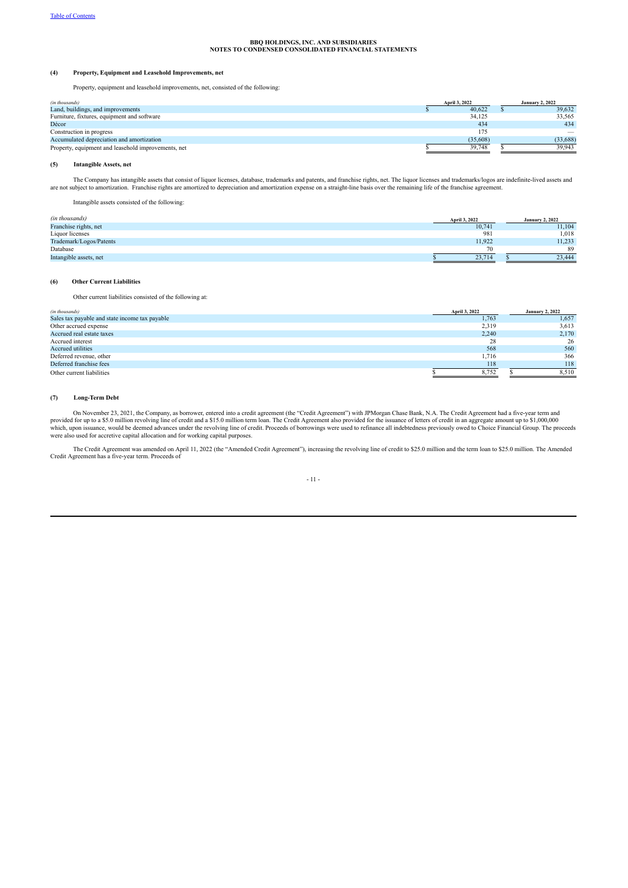#### **(4) Property, Equipment and Leasehold Improvements, net**

Property, equipment and leasehold improvements, net, consisted of the following:

| (in thousands)                                      | April 3, 2022 | <b>January 2, 2022</b>          |
|-----------------------------------------------------|---------------|---------------------------------|
| Land, buildings, and improvements                   | 40,622        | 39,632                          |
| Furniture, fixtures, equipment and software         | 34,125        | 33,565                          |
| Décor                                               | 434           | 434                             |
| Construction in progress                            | 175           | $\hspace{0.1mm}-\hspace{0.1mm}$ |
| Accumulated depreciation and amortization           | (35.608)      | (33, 688)                       |
| Property, equipment and leasehold improvements, net | 39.748        | 39.943                          |

#### **(5) Intangible Assets, net**

The Company has intangible assets that consist of liquor licenses, database, trademarks and patents, and franchise rights, net. The liquor licenses and trademarks/logos are indefinite-lived assets and<br>are not subject to am

Intangible assets consisted of the following:

| (in thousands)          | April 3, 2022 | <b>January 2, 2022</b> |
|-------------------------|---------------|------------------------|
| Franchise rights, net   | 10.741        | 11.104                 |
| Liquor licenses         | 981           | 1.018                  |
| Trademark/Logos/Patents | 11.922        | 11.233                 |
| Database                | 70            | 89                     |
| Intangible assets, net  | 23.714        | 23.444                 |

#### **(6) Other Current Liabilities**

Other current liabilities consisted of the following at:

| (in thousands)                                 | April 3, 2022 | <b>January 2, 2022</b> |
|------------------------------------------------|---------------|------------------------|
| Sales tax payable and state income tax payable | 1,763         | 1,657                  |
| Other accrued expense                          | 2,319         | 3,613                  |
| Accrued real estate taxes                      | 2,240         | 2,170                  |
| Accrued interest                               | 28            | 26                     |
| <b>Accrued utilities</b>                       | 568           | 560                    |
| Deferred revenue, other                        | 1.716         | 366                    |
| Deferred franchise fees                        | 118           | 118                    |
| Other current liabilities                      | 8.752         | 8,510                  |

#### **(7) Long-Term Debt**

On November 23, 2021, the Company, as borrower, entered into a credit agreement (the "Credit Agreement") with JPMorgan Chase Bank, N.A. The Credit Agreement had a five-year term and<br>provided for up to a \$5.0 million revolv

The Credit Agreement was amended on April 11, 2022 (the "Amended Credit Agreement"), increasing the revolving line of credit to \$25.0 million and the term loan to \$25.0 million. The Amended Credit Agreement has a five-year

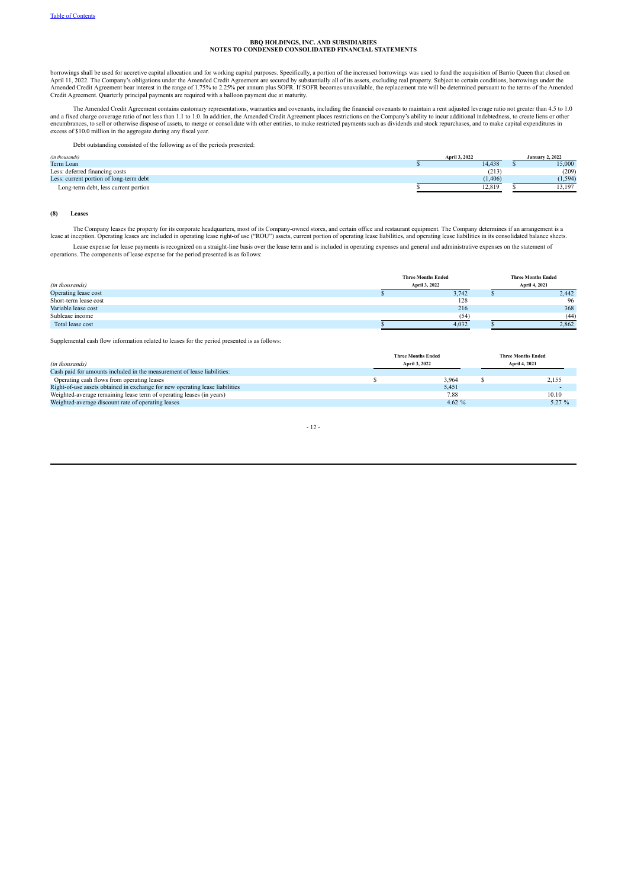borrowings shall be used for accretive capital allocation and for working capital purposes. Specifically, a portion of the increased borrowings was used to fund the acquisition of Barrio Queen that closed on<br>April 11, 2022 Amended Credit Agreement bear interest in the range of 1.75% to 2.25% per annum plus SOFR. If SOFR becomes unavailable, the replacement rate will be determined pursuant to the terms of the Amended<br>Credit Agreement. Quarter

The Amended Credit Agreement contains customary representations, warranties and covenants, including the financial covenants to maintain a rent adjusted leverage ratio not greater than 4.5 to 1.0<br>and a fixed charge coverag excess of \$10.0 million in the aggregate during any fiscal year.

Debt outstanding consisted of the following as of the periods presented:

| (in thousands)                          | April 3, 2022 | <b>January 2, 2022</b> |
|-----------------------------------------|---------------|------------------------|
| Term Loan                               | 14.438        | 15,000                 |
| Less: deferred financing costs          | (213)         | (209)                  |
| Less: current portion of long-term debt | (1.406)       | (1, 594)               |
| Long-term debt, less current portion    | 12,819        | 13,197                 |

#### **(8) Leases**

The Company leases the property for its corporate headquarters, most of its Company-owned stores, and certain office and restaurant equipment. The Company determines if an arrangement is a lease at inception. Operating leases are included in operating lease right-of use ("ROU") assets, current portion of operating lease liabilities, and operating lease liabilities in its consolidated balance sheets. Lease expense for lease payments is recognized on a straight-line basis over the lease term and is included in operating expenses and general and administrative expenses on the statement of operations. The components of le

| (in thousands)        | <b>Three Months Ended</b><br>April 3, 2022 | <b>Three Months Ended</b><br>April 4, 2021 |       |  |
|-----------------------|--------------------------------------------|--------------------------------------------|-------|--|
| Operating lease cost  | 3,742                                      |                                            | 2,442 |  |
| Short-term lease cost | 128                                        |                                            | 96    |  |
| Variable lease cost   | 216                                        |                                            | 368   |  |
| Sublease income       | (54)                                       |                                            | (44)  |  |
| Total lease cost      | 4,032                                      |                                            | 2.862 |  |

Supplemental cash flow information related to leases for the period presented is as follows:

| (in thousands)                                                               | <b>Three Months Ended</b><br>April 3, 2022 | <b>Three Months Ended</b><br><b>April 4, 2021</b> |
|------------------------------------------------------------------------------|--------------------------------------------|---------------------------------------------------|
| Cash paid for amounts included in the measurement of lease liabilities:      |                                            |                                                   |
| Operating cash flows from operating leases                                   | 3.964                                      | 2,155                                             |
| Right-of-use assets obtained in exchange for new operating lease liabilities | 5.451                                      |                                                   |
| Weighted-average remaining lease term of operating leases (in years)         | 7.88                                       | 10.10                                             |
| Weighted-average discount rate of operating leases                           | 462%                                       | 5.27%                                             |

#### - 12 -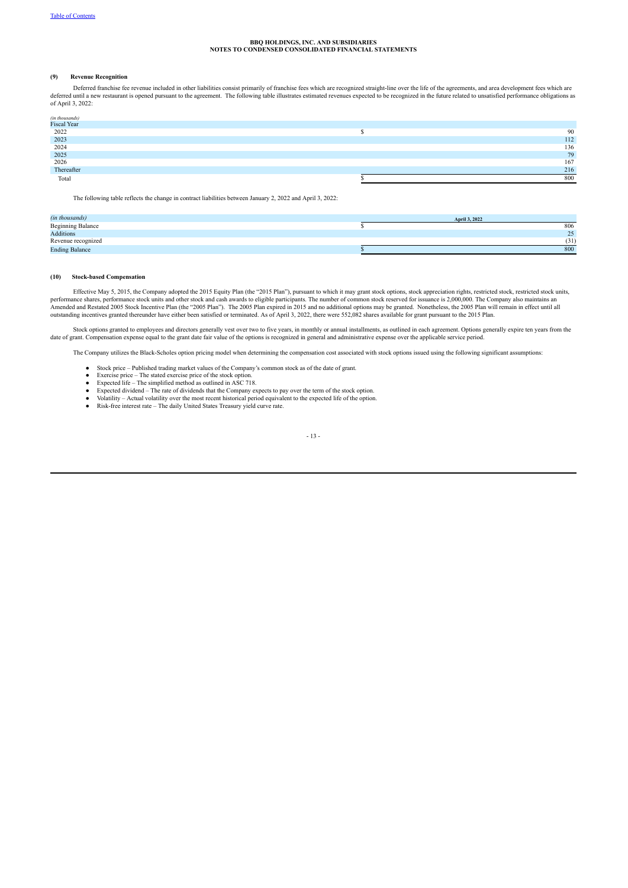#### **(9) Revenue Recognition**

Deferred franchise fee revenue included in other liabilities consist primarily of franchise fees which are recognized straight-line over the life of the agreements, and area development fees which are deferred until a new restaurant is opened pursuant to the agreement. The following table illustrates estimated revenues expected to be recognized in the future related to unsatisfied performance obligations as of April 3, 2022:

| (in thousands) |     |
|----------------|-----|
| Fiscal Year    |     |
| 2022           | 90  |
| 2023           | 112 |
| 2024           | 136 |
| 2025           | 79  |
| 2026           | 167 |
| Thereafter     | 216 |
| Total          | 800 |

The following table reflects the change in contract liabilities between January 2, 2022 and April 3, 2022:

| (in thousands)           | April 3, 2022 |
|--------------------------|---------------|
| <b>Beginning Balance</b> | 806           |
| Additions                | 25            |
| Revenue recognized       | (31)          |
| <b>Ending Balance</b>    | 800           |

#### ( **(10) Stock-based Compensation**

Effective May 5, 2015, the Company adopted the 2015 Equity Plan (the "2015 Plan"), pursuant to which it may grant stock options, stock appreciation rights, restricted stock, restricted stock units, performance shares, perf Amended and Restated 2005 Stock Incentive Plan (the "2005 Plan"). The 2005 Plan expired in 2015 and no additional options may be granted. Nonetheless, the 2005 Plan will remain in effect until all outstanding incentives granted thereunder have either been satisfied or terminated. As of April 3, 2022, there were 552,082 shares available for grant pursuant to the 2015 Plan.

Stock options granted to employees and directors generally vest over two to five years, in monthly or annual installments, as outlined in each agreement. Options generally expire ten years from the date of grant. Compensation expense equal to the grant date fair value of the options is recognized in general and administrative expense over the applicable service period.

The Company utilizes the Black-Scholes option pricing model when determining the compensation cost associated with stock options issued using the following significant assumptions:

- Stock price Published trading market values of the Company's common stock as of the date of grant.
- Exercise price The stated exercise price of the stock option. Expected life The simplified method as outlined in ASC 718.
- 
- Expected dividend The rate of dividends that the Company expects to pay over the term of the stock option.
- Volatility Actual volatility over the most recent historical period equivalent to the expected life of the option. Risk-free interest rate The daily United States Treasury yield curve rate.
- 
- 13 -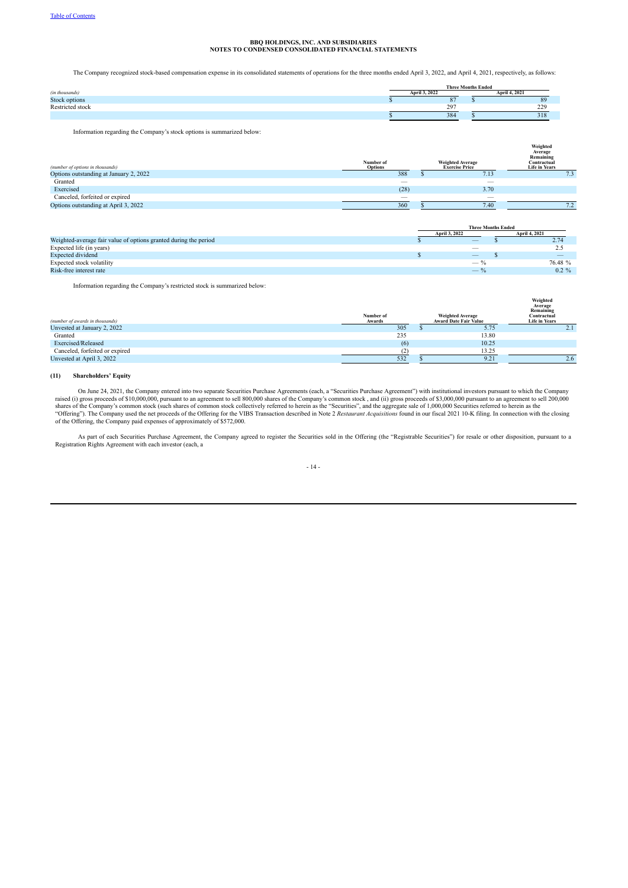The Company recognized stock-based compensation expense in its consolidated statements of operations for the three months ended April 3, 2022, and April 4, 2021, respectively, as follows:

|                      | <b>Three Months Ended</b> |                                 |  |                      |
|----------------------|---------------------------|---------------------------------|--|----------------------|
| (in thousands)       | April 3, 2022             |                                 |  | <b>April 4, 2021</b> |
| <b>Stock options</b> |                           | $\sim$                          |  | 89                   |
| Restricted stock     |                           | 297<br>$\overline{\phantom{a}}$ |  | 229                  |
|                      |                           | 384                             |  | 318                  |
|                      |                           |                                 |  |                      |

Information regarding the Company's stock options is summarized below:

| (number of options in thousands)       | Number of<br><b>Options</b>    | <b>Weighted Average</b><br><b>Exercise Price</b> | Weighted<br>Average<br>Remaining<br>Contractual<br><b>Life in Years</b> |
|----------------------------------------|--------------------------------|--------------------------------------------------|-------------------------------------------------------------------------|
| Options outstanding at January 2, 2022 | 388                            | 7.13                                             | 7.3                                                                     |
| Granted                                | $\qquad \qquad \longleftarrow$ |                                                  |                                                                         |
| Exercised                              | (28)                           | 3.70                                             |                                                                         |
| Canceled, forfeited or expired         | $-$                            | $\overline{\phantom{a}}$                         |                                                                         |
| Options outstanding at April 3, 2022   | 360                            | 7.40                                             | 70                                                                      |

|                                                                  |               | <b>Three Months Ended</b>       |                                 |  |  |
|------------------------------------------------------------------|---------------|---------------------------------|---------------------------------|--|--|
|                                                                  | April 3, 2022 |                                 | <b>April 4, 2021</b>            |  |  |
| Weighted-average fair value of options granted during the period |               | $-$                             | 2.74                            |  |  |
| Expected life (in years)                                         |               |                                 | 2.5                             |  |  |
| <b>Expected dividend</b>                                         |               | $\hspace{0.1mm}-\hspace{0.1mm}$ | $\hspace{0.1mm}-\hspace{0.1mm}$ |  |  |
| Expected stock volatility                                        |               | $-$ %                           | 76.48 %                         |  |  |
| Risk-free interest rate                                          |               | $-$ %                           | $0.2 \%$                        |  |  |

Information regarding the Company's restricted stock is summarized below:

| (number of awards in thousands) | Number of<br>Awards | <b>Weighted Average</b><br>Award Date Fair Value | Weighted<br>Average<br>Remaining<br>Contractual<br><b>Life in Years</b> |
|---------------------------------|---------------------|--------------------------------------------------|-------------------------------------------------------------------------|
| Unvested at January 2, 2022     | 305                 | 5.75                                             | 2.1                                                                     |
| Granted                         | 235                 | 13.80                                            |                                                                         |
| Exercised/Released              | (6)                 | 10.25                                            |                                                                         |
| Canceled, forfeited or expired  | (2)                 | 13.25                                            |                                                                         |
| Unvested at April 3, 2022       | 532                 | 9.21                                             | 2.6                                                                     |

#### **(11) Shareholders' Equity**

On June 24, 2021, the Company entered into two separate Securities Purchase Agreements (each, a "Securities Purchase Agreement") with institutional investors pursuant to which the Company raised (i) gross proceeds of \$10,000,000, pursuant to an agreement to sell 800,000 shares of the Company's common stock , and (ii) gross proceeds of \$3,000,000 pursuant to an agreement to sell 200,000<br>shares of the Company of the Offering, the Company paid expenses of approximately of \$572,000.

As part of each Securities Purchase Agreement, the Company agreed to register the Securities sold in the Offering (the "Registrable Securities") for resale or other disposition, pursuant to a<br>Registration Rights Agreement

#### - 14 -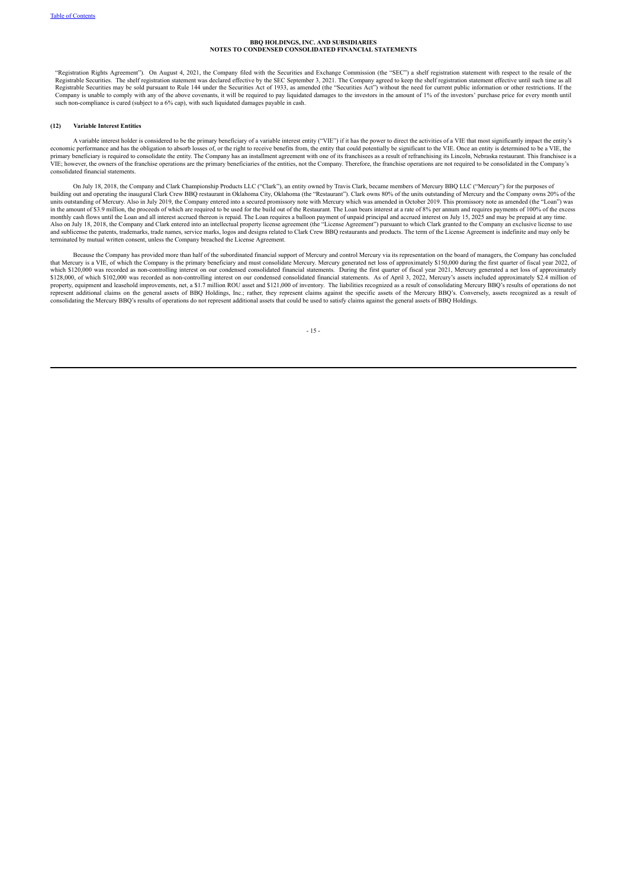"Registration Rights Agreement"). On August 4, 2021, the Company filed with the Securities and Exchange Commission (the "SEC") a shelf registration statement with respect to the resale of the<br>Registrable Securities. The sh Registrable Securities may be sold pursuant to Rule 144 under the Securities Act of 1933, as amended (the "Securities Act") without the need for current public information or other restrictions. If the Company is unable to such non-compliance is cured (subject to a 6% cap), with such liquidated damages payable in cash.

#### **(12) Variable Interest Entities**

A variable interest holder is considered to be the primary beneficiary of a variable interest entity ("VIE") if it has the power to direct the activities of a VIE that most significantly impact the entity's economic performance and has the obligation to absorb losses of, or the right to receive benefits from, the entity that could potentially be significant to the VIE. Once an entity is determined to be a VIE, the entire of t primary beneficiary is required to consolidate the entity. The Company has an installment agreement with one of its franchisees as a result of refranchising its Lincoln, Nebraska restaurant. This franchisee is a VIE; however, the owners of the franchise operations are the primary beneficiaries of the entities, not the Company. Therefore, the franchise operations are not required to be consolidated in the Company's consolidated financial statements.

On July 18, 2018, the Company and Clark Championship Products LLC ("Clark"), an entity owned by Travis Clark, became members of Mercury BBQ LLC ("Mercury") for the purposes of<br>building out and operating the inaugural Clark in the amount of \$3.9 million, the proceeds of which are required to be used for the build out of the Restaurant. The Loan bears interest at a rate of 8% per annum and requires payments of 100% of the excess<br>monthly cash f Also on July 18, 2018, the Company and Clark entered into an intellectual property license agreement (the "License Agreement") pursuant to which Clark granted to the Company an exclusive license to use and sublicense the patents, trademarks, trade names, service marks, logos and designs related to Clark Crew BBQ restaurants and products. The term of the License Agreement is indefinite and may only be terminated by mutual written consent, unless the Company breached the License Agreement.

Because the Company has provided more than half of the subordinated financial support of Mercury and control Mercury via its representation on the board of managers, the Company has concluded that Mercury is a VIE, of which the Company is the primary beneficiary and must consolidate Mercury. Mercury generated net loss of approximately \$150,000 during the first quarter of fiscal year 2022, of<br>which \$120,000 was \$128,000, of which \$102,000 was recorded as non-controlling interest on our condensed consolidated financial statements. As of April 3, 2022, Mercury's assets included approximately \$2.4 million of<br>property, equipment and represent additional claims on the general assets of BBQ Holdings, Inc.; rather, they represent claims against the specific assets of the Mercury BBQ's. Conversely, assets recognized as a result of consolidating the Mercury BBQ's results of operations do not represent additional assets that could be used to satisfy claims against the general assets of BBQ Holdings.

- 15 -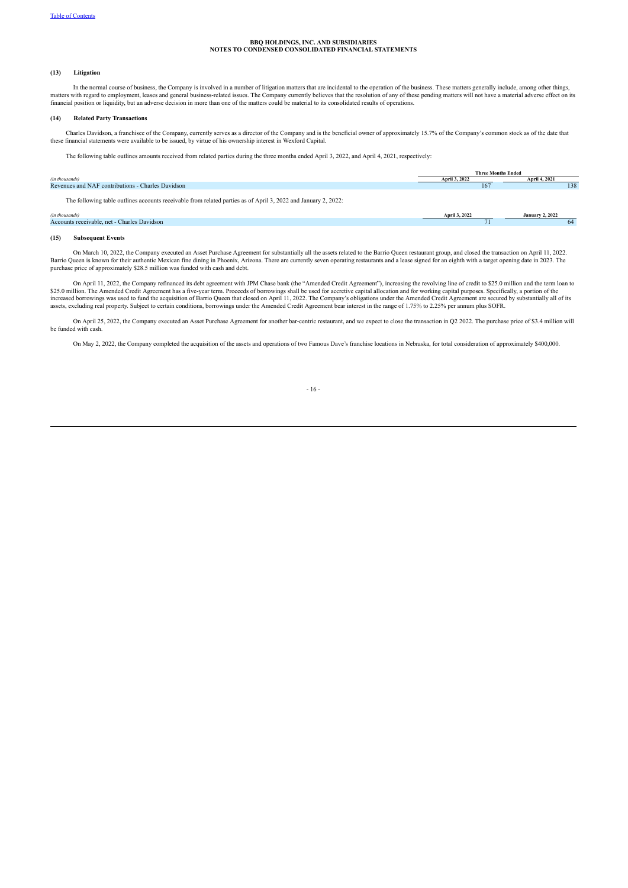#### **(13) Litigation**

In the normal course of business, the Company is involved in a number of litigation matters that are incidental to the operation of the business. These matters generally include, among other things, matters with regard to financial position or liquidity, but an adverse decision in more than one of the matters could be material to its consolidated results of operations.

#### **(14) Related Party Transactions**

Charles Davidson, a franchisee of the Company, currently serves as a director of the Company and is the beneficial owner of approximately 15.7% of the Company's common stock as of the date that these financial statements were available to be issued, by virtue of his ownership interest in Wexford Capital.

The following table outlines amounts received from related parties during the three months ended April 3, 2022, and April 4, 2021, respectively:

|                                                                                                                | <b>Three Months Ended</b> |                        |
|----------------------------------------------------------------------------------------------------------------|---------------------------|------------------------|
| (in thousands)                                                                                                 | April 3, 2022             | April 4, 2021          |
| Revenues and NAF contributions - Charles Davidson                                                              | 167                       | 138                    |
| The following table outlines accounts receivable from related parties as of April 3, 2022 and January 2, 2022: |                           |                        |
| (in thousands)                                                                                                 | April 3, 2022             | <b>January 2, 2022</b> |
| Accounts receivable, net - Charles Davidson                                                                    |                           | 64                     |
|                                                                                                                |                           |                        |

#### **(15) Subsequent Events**

.0022, the Company executed an Asset Purchase Agreement for substantially all the assets related to the Barrio Queen restaurant group, and closed the transaction on April 11, 2022.<br>Barrio Queen is known for their authentic purchase price of approximately \$28.5 million was funded with cash and debt.

On April 11, 2022, the Company refinanced its debt agreement with JPM Chase bank (the "Amended Credit Agreement"), increasing the revolving line of credit to \$25.0 million and the term loan to \$25.0 million and the term lo

On April 25, 2022, the Company executed an Asset Purchase Agreement for another bar-centric restaurant, and we expect to close the transaction in Q2 2022. The purchase price of \$3.4 million will be funded with cash.

On May 2, 2022, the Company completed the acquisition of the assets and operations of two Famous Dave's franchise locations in Nebraska, for total consideration of approximately \$400,000.

#### $-16$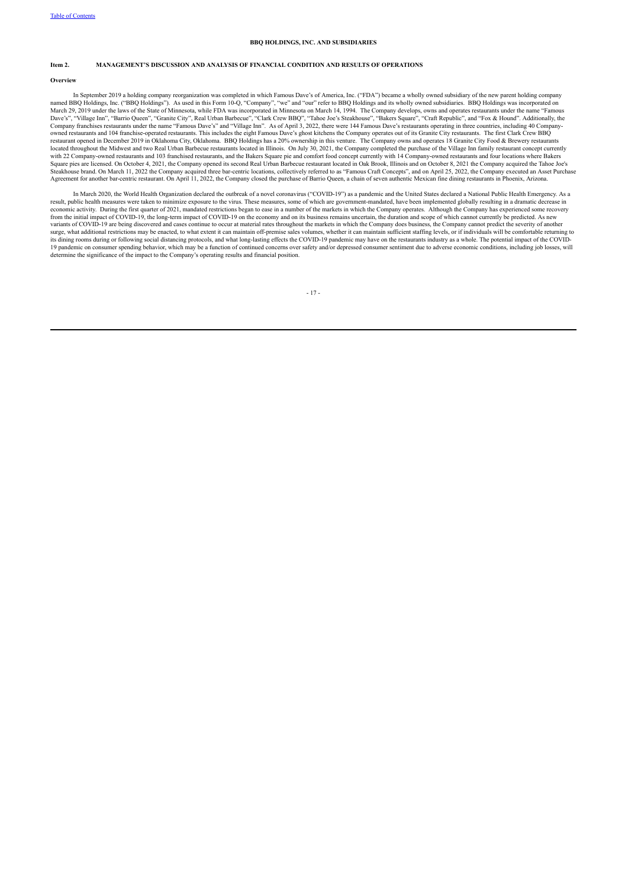#### <span id="page-16-0"></span>**Item 2. MANAGEMENT'S DISCUSSION AND ANALYSIS OF FINANCIAL CONDITION AND RESULTS OF OPERATIONS**

#### **Overview**

In September 2019 a holding company reorganization was completed in which Famous Dave's of America, Inc. ("FDA") became a wholly owned subsidiary of the new parent holding company named BBQ Holdings, Inc. ("BBQ Holdings"). As used in this Form 10-Q, "Company", "we" and "our" refer to BBQ Holdings and its wholly owned subsidiaries. BBQ Holdings was incorporated on<br>March 29, 2019 under the laws of the restaurant opened in December 2019 in Oklahoma City, Oklahoma. BBQ Holdings has a 20% ownership in this venture. The Company owns and operates 18 Granite City Food & Brewery restaurants<br>located throughout the Midwest and t with 22 Company-owned restaurants and 103 franchised restaurants, and the Bakers Square pie and comfort food concept currently with 14 Company-owned restaurants and four locations where Bakers Square pies are licensed. On October 4, 2021, the Company opened its second Real Urban Barbecue restaurant located in Oak Brook, Illinois and on October 8, 2021 the Company acquired the Tahoe Joe's Stephen Barbecue restaur ruse brand. On March 11, 2022 the Company acquired three bar-centric locations, collectively referred to as "Famous Craft Concepts", and on April 25, 2022, the Company executed an Asset Purchase Agreement for another bar-centric restaurant. On April 11, 2022, the Company closed the purchase of Barrio Queen, a chain of seven authentic Mexican fine dining restaurants in Phoenix, Arizona.

In March 2020, the World Health Organization declared the outbreak of a novel coronavirus ("COVID-19") as a pandemic and the United States declared a National Public Health Emergency. As a result, public health measures were taken to minimize exposure to the virus. These measures, some of which are government-mandated, have been implemented globally resulting in a dramatic decrease in economic activity. During the first quarter of 2021, mandated restrictions began to ease in a number of the markets in which the Company operates. Although the Company has experienced some recovery<br>from the initial impact variants of COVID-19 are being discovered and cases continue to occur at material rates throughout the markets in which the Company does business, the Company cannot predict the severity of another surge, what additional restrictions may be enacted, to what extent it can maintain off-premise sales volumes, whether it can maintain sufficient staffing levels, or if individuals will be comfortable returning to its dining rooms during or following social distancing protocols, and what long-lasting effects the COVID-19 pandemic may have on the restaurants industry as a whole. The potential impact of the COVID-19 pandemic on consumer spending behavior, which may be a function of continued concerns over safety and/or depressed consumer sentiment due to adverse economic conditions, including job losses, will determine the significance of the impact to the Company's operating results and financial position.

- 17 -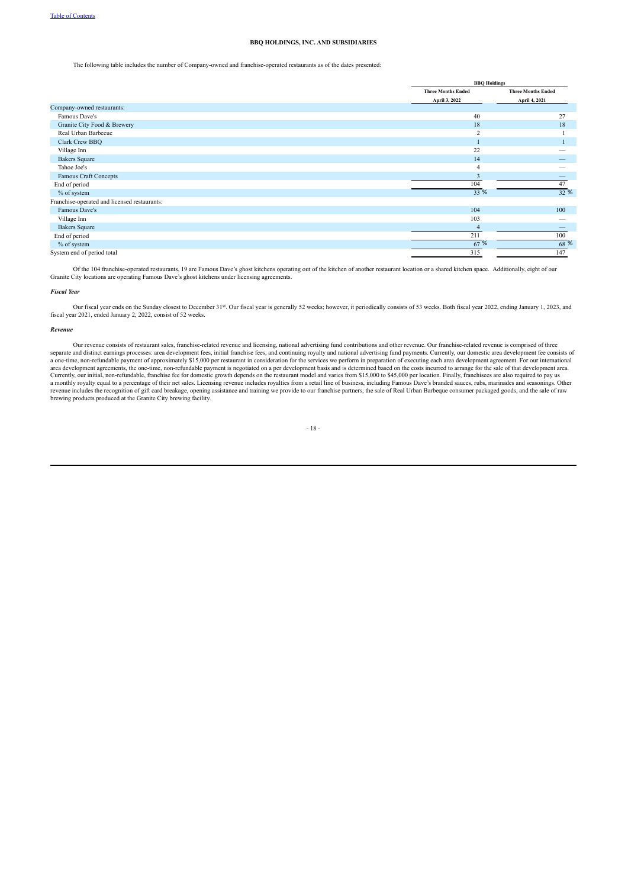The following table includes the number of Company-owned and franchise-operated restaurants as of the dates presented:

|                                              | <b>BBQ Holdings</b>       |                           |  |  |
|----------------------------------------------|---------------------------|---------------------------|--|--|
|                                              | <b>Three Months Ended</b> | <b>Three Months Ended</b> |  |  |
|                                              | April 3, 2022             | April 4, 2021             |  |  |
| Company-owned restaurants:                   |                           |                           |  |  |
| Famous Dave's                                | 40                        | 27                        |  |  |
| Granite City Food & Brewery                  | 18                        | 18                        |  |  |
| Real Urban Barbecue                          | $\overline{2}$            |                           |  |  |
| Clark Crew BBQ                               |                           |                           |  |  |
| Village Inn                                  | 22                        |                           |  |  |
| <b>Bakers Square</b>                         | 14                        |                           |  |  |
| Tahoe Joe's                                  | $\overline{4}$            |                           |  |  |
| Famous Craft Concepts                        | $\overline{3}$            |                           |  |  |
| End of period                                | 104                       | 47                        |  |  |
| % of system                                  | 33 %                      | 32 %                      |  |  |
| Franchise-operated and licensed restaurants: |                           |                           |  |  |
| Famous Dave's                                | 104                       | 100                       |  |  |
| Village Inn                                  | 103                       |                           |  |  |
| <b>Bakers Square</b>                         | $\overline{4}$            |                           |  |  |
| End of period                                | 211                       | 100                       |  |  |
| % of system                                  | 67%                       | 68 %                      |  |  |
| System end of period total                   | 315                       | 147                       |  |  |

Of the 104 franchise-operated restaurants, 19 are Famous Dave's ghost kitchens operating out of the kitchen of another restaurant location or a shared kitchen space. Additionally, eight of our Granite City locations are operating Famous Dave's ghost kitchens under licensing agreements.

#### *Fiscal Year*

Our fiscal year ends on the Sunday closest to December 31st. Our fiscal year is generally 52 weeks; however, it periodically consists of 53 weeks. Both fiscal year 2022, ending January 1, 2023, and fiscal year 2021, ended January 2, 2022, consist of 52 weeks.

#### *Revenue*

Our revenue consists of restaurant sales, franchise-related revenue and licensing, national advertising fund contributions and other revenue. Our franchise-related revenue is comprised of three<br>separate and distinct earnin a one-time, non-refundable payment of approximately \$15,000 per restaurant in consideration for the services we perform in preparation of executing each area development agreement. For our international area development ag Currently, our initial, non-refundable, franchise fee for domestic growth depends on the restaurant model and varies from \$15,000 to \$45,000 per location. Finally, franchisees are also required to pay us<br>a monthly royalty

#### - 18 -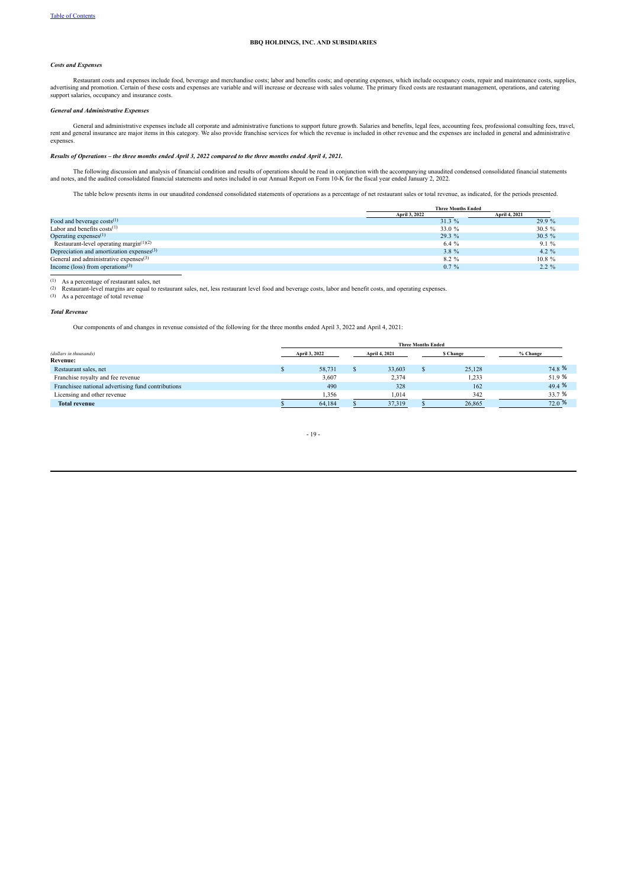#### *Costs and Expenses*

Restaurant costs and expenses include food, beverage and merchandise costs; labor and benefits costs; and operating expenses, which include occupancy costs, repair and maintenance costs, supplies, advertising and promotion. Certain of these costs and expenses are variable and will increase or decrease with sales volume. The primary fixed costs are restaurant management, operations, and catering<br>support salaries, occ

#### *General and Administrative Expenses*

General and administrative expenses include all corporate and administrative functions to support future growth. Salaries and benefits, legal fees, accounting fees, professional consulting fees, travel,<br>rent and general in expenses.

#### Results of Operations - the three months ended April 3, 2022 compared to the three months ended April 4, 2021.

The following discussion and analysis of financial condition and results of operations should be read in conjunction with the accompanying unaudited condensed consolidated financial statements and notes and the audited con

The table below presents items in our unaudited condensed consolidated statements of operations as a percentage of net restaurant sales or total revenue, as indicated, for the periods presented.

|                                              | <b>Three Months Ended</b> |               |  |  |  |
|----------------------------------------------|---------------------------|---------------|--|--|--|
|                                              | April 3, 2022             | April 4, 2021 |  |  |  |
| Food and beverage $costs^{(1)}$              | 31.3 %                    | 29.9 %        |  |  |  |
| Labor and benefits $costs^{(1)}$             | 33.0 %                    | $30.5 \%$     |  |  |  |
| Operating expenses $(1)$                     | 29.3 %                    | 30.5%         |  |  |  |
| Restaurant-level operating margin $(1)(2)$   | 6.4 %                     | 9.1%          |  |  |  |
| Depreciation and amortization expenses $(3)$ | 3.8 %                     | $4.2 \%$      |  |  |  |
| General and administrative expenses $(3)$    | 8.2 %                     | $10.8 \%$     |  |  |  |
| Income (loss) from operations <sup>(3)</sup> | $0.7\%$                   | $2.2 \%$      |  |  |  |

(1) As a percentage of restaurant sales, net<br>  $(2)$  Restaurant-level margins are equal to re

(2) Restaurant-level margins are equal to restaurant sales, net, less restaurant level food and beverage costs, labor and benefit costs, and operating expenses. (3) As a percentage of total revenue

#### *Total Revenue*

Our components of and changes in revenue consisted of the following for the three months ended April 3, 2022 and April 4, 2021:

|                                                    | <b>Three Months Ended</b> |  |               |  |                 |           |  |  |  |
|----------------------------------------------------|---------------------------|--|---------------|--|-----------------|-----------|--|--|--|
| (dollars in thousands)                             | April 3, 2022             |  | April 4, 2021 |  | <b>S</b> Change | % Change  |  |  |  |
| Revenue:                                           |                           |  |               |  |                 |           |  |  |  |
| Restaurant sales, net                              | 58.731                    |  | 33.603        |  | 25,128          | 74.8 %    |  |  |  |
| Franchise royalty and fee revenue                  | 3,607                     |  | 2,374         |  | 1,233           | 51.9%     |  |  |  |
| Franchisee national advertising fund contributions | 490                       |  | 328           |  | 162             | 49.4 %    |  |  |  |
| Licensing and other revenue                        | 1,356                     |  | 1,014         |  | 342             | 33.7 %    |  |  |  |
| <b>Total revenue</b>                               | 64,184                    |  | 37.319        |  | 26,865          | $72.0 \%$ |  |  |  |
|                                                    |                           |  |               |  |                 |           |  |  |  |

$$
-19 -
$$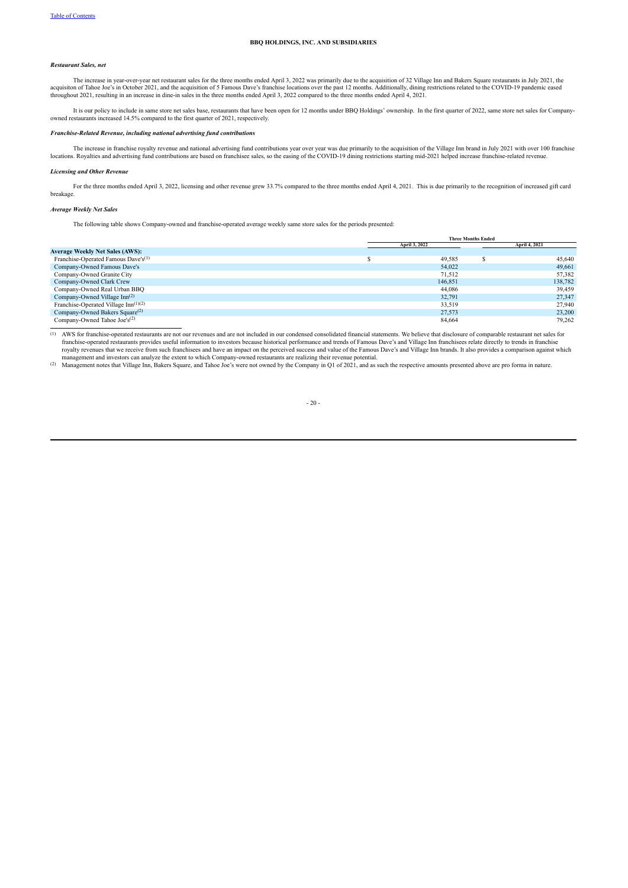#### *Restaurant Sales, net*

The increase in year-over-year net restaurant sales for the three months ended April 3, 2022 was primarily due to the acquisition of 32 Village Inn and Bakers Square restaurants in July 2021, the acquisiton of Tahoe Joe's in October 2021, and the acquisition of 5 Famous Dave's franchise locations over the past 12 months. Additionally, dining restrictions related to the COVID-19 pandemic eased throughout 2021, resul

It is our policy to include in same store net sales base, restaurants that have been open for 12 months under BBQ Holdings' ownership. In the first quarter of 2022, same store net sales for Companyowned restaurants increased 14.5% compared to the first quarter of 2021, respectively.

#### *Franchise-Related Revenue, including national advertising fund contributions*

The increase in franchise royalty revenue and national advertising fund contributions year over year was due primarily to the acquisition of the Village Inn brand in July 2021 with over 100 franchise alcations. Royalties a

#### *Licensing and Other Revenue*

For the three months ended April 3, 2022, licensing and other revenue grew 33.7% compared to the three months ended April 4, 2021. This is due primarily to the recognition of increased gift card breakage.

#### *Average Weekly Net Sales*

The following table shows Company-owned and franchise-operated average weekly same store sales for the periods presented:

|                                                 | <b>Three Months Ended</b> |  |               |  |  |
|-------------------------------------------------|---------------------------|--|---------------|--|--|
|                                                 | April 3, 2022             |  | April 4, 2021 |  |  |
| <b>Average Weekly Net Sales (AWS):</b>          |                           |  |               |  |  |
| Franchise-Operated Famous Dave's <sup>(1)</sup> | 49.585                    |  | 45,640        |  |  |
| Company-Owned Famous Dave's                     | 54.022                    |  | 49,661        |  |  |
| Company-Owned Granite City                      | 71.512                    |  | 57,382        |  |  |
| Company-Owned Clark Crew                        | 146.851                   |  | 138,782       |  |  |
| Company-Owned Real Urban BBQ                    | 44.086                    |  | 39,459        |  |  |
| Company-Owned Village $Inn(2)$                  | 32.791                    |  | 27.347        |  |  |
| Franchise-Operated Village $Inn^{(1)(2)}$       | 33,519                    |  | 27.940        |  |  |
| Company-Owned Bakers Square <sup>(2)</sup>      | 27,573                    |  | 23,200        |  |  |
| Company-Owned Tahoe Joe's <sup>(2)</sup>        | 84.664                    |  | 79.262        |  |  |

(1) AWS for franchise-operated restaurants are not our revenues and are not included in our condensed consolidated financial statements. We believe that disclosure of comparable restaurant net sales for franchise-operated restaurants provides useful information to investors because historical performance and trends of Famous Dave's and Village Inn franchisees relate directly to trends in franchise<br>royalty revenues that we

management and investors can analyze the extent to which Company-owned restaurants are realizing their revenue potential.<br>(2) Management notes that Village Inn, Bakers Square, and Tahoe Joe's were not owned by the Company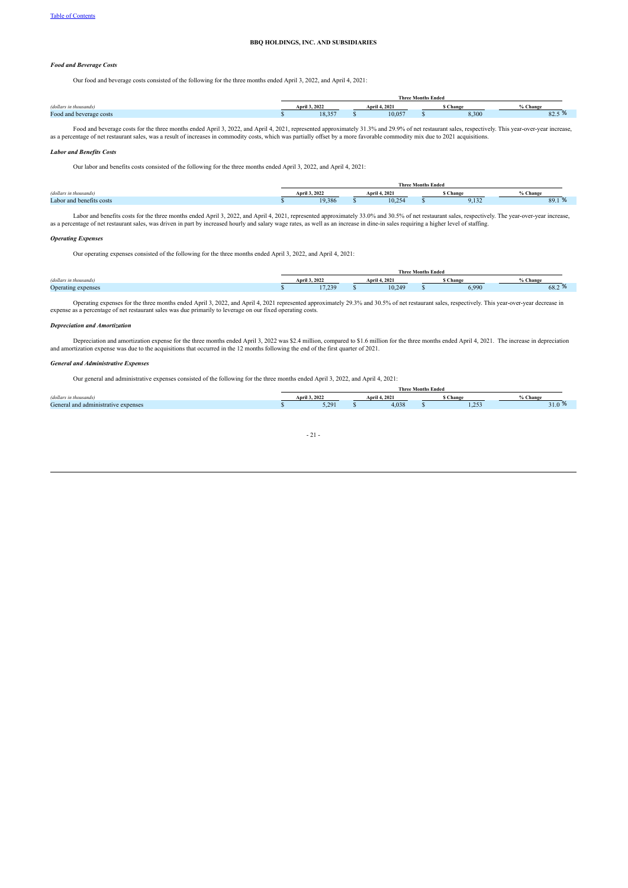#### *Food and Beverage Costs*

Our food and beverage costs consisted of the following for the three months ended April 3, 2022, and April 4, 2021:

|                         | <b>Three Months Ended</b> |                |  |               |  |         |                       |  |
|-------------------------|---------------------------|----------------|--|---------------|--|---------|-----------------------|--|
| (dollars in thousands)  |                           | April 3, 2022  |  | April 4, 2021 |  | s Chang | 6 Change              |  |
| Food and beverage costs |                           | 0.257<br>. د.ه |  | 10.057        |  | 8,300   | $\sim$<br>$\delta$ 2. |  |

Food and beverage costs for the three months ended April 3, 2022, and April 4, 2021, represented approximately 31.3% and 29.9% of net restaurant sales, respectively. This year-over-year increase, as a percentage of net res

#### *Labor and Benefits Costs*

Our labor and benefits costs consisted of the following for the three months ended April 3, 2022, and April 4, 2021:

|                          | <b>Three Months Ended</b> |  |               |  |         |                |  |  |
|--------------------------|---------------------------|--|---------------|--|---------|----------------|--|--|
| (dollars in thousands)   | <b>April 3, 2022</b>      |  | April 4, 2021 |  | i Chang | % Change       |  |  |
| Labor and benefits costs | 19 386                    |  | 10.254        |  | 9.132   | 89.1<br>$\sim$ |  |  |
|                          |                           |  |               |  |         |                |  |  |

Labor and benefits costs for the three months ended April 3, 2022, and April 4, 2021, represented approximately 33.0% and 30.5% of net restaurant sales, respectively. The year-over-year increase, as a percentage of net restaurant sales, was driven in part by increased hourly and salary wage rates, as well as an increase in dine-in sales requiring a higher level of staffing.

#### *Operating Expenses*

Our operating expenses consisted of the following for the three months ended April 3, 2022, and April 4, 2021:

|                        | <b>Three Months Ended</b> |  |               |  |          |          |  |  |
|------------------------|---------------------------|--|---------------|--|----------|----------|--|--|
| (dollars in thousands) | <b>April 3, 2022</b>      |  | April 4, 2021 |  | i Change | % Change |  |  |
| Operating expenses     | 17 239                    |  | 10,249        |  | 6,990    | 68.2 %   |  |  |

Operating expenses for the three months ended April 3, 2022, and April 4, 2021 represented approximately 29.3% and 30.5% of net restaurant sales, respectively. This year-over-year decrease in expense as a percentage of net

#### *Depreciation and Amortization*

Depreciation and amortization expense for the three months ended April 3, 2022 was \$2.4 million, compared to \$1.6 million for the three months ended April 4, 2021. The increase in depreciation and amortization expense was due to the acquisitions that occurred in the 12 months following the end of the first quarter of 2021.

#### *General and Administrative Expenses*

Our general and administrative expenses consisted of the following for the three months ended April 3, 2022, and April 4, 2021:

|                                     | <b>Three Months Ended</b> |  |                      |  |         |        |
|-------------------------------------|---------------------------|--|----------------------|--|---------|--------|
| (dollars in thousands)              | April 3, 2022             |  | <b>April 4, 2021</b> |  | Change  | Change |
| General and administrative expenses | 5.201                     |  | 4,038                |  | 25<br>. | 0.10   |
|                                     |                           |  |                      |  |         |        |

|--|--|--|--|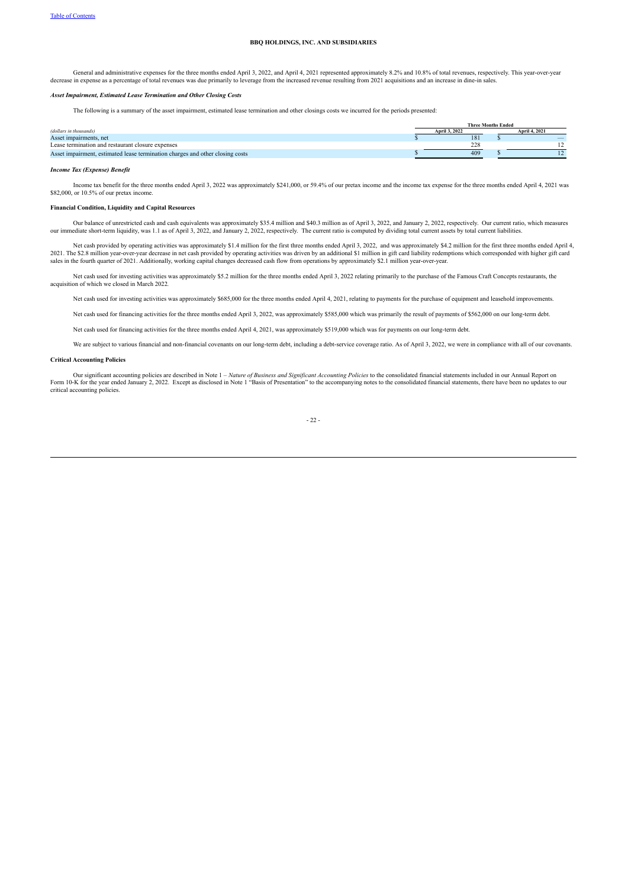General and administrative expenses for the three months ended April 3, 2022, and April 4, 2021 represented approximately 8.2% and 10.8% of total revenues, respectively. This year-over-year decrease in expense as a percent

#### *Asset Impairment, Estimated Lease Termination and Other Closing Costs*

The following is a summary of the asset impairment, estimated lease termination and other closings costs we incurred for the periods presented:

|                                                                               | <b>Three Months Ended</b> |               |  |                      |
|-------------------------------------------------------------------------------|---------------------------|---------------|--|----------------------|
| (dollars in thousands)                                                        |                           | April 3, 2022 |  | <b>April 4, 2021</b> |
| Asset impairments, net                                                        |                           | 181           |  |                      |
| Lease termination and restaurant closure expenses                             |                           | 228           |  |                      |
| Asset impairment, estimated lease termination charges and other closing costs |                           | 409           |  |                      |

#### *Income Tax (Expense) Benefit*

Income tax benefit for the three months ended April 3, 2022 was approximately \$241,000, or 59.4% of our pretax income and the income tax expense for the three months ended April 4, 2021 was \$82,000, or 10.5% of our pretax income.

#### **Financial Condition, Liquidity and Capital Resources**

Our balance of unrestricted cash and cash equivalents was approximately \$35.4 million and \$40.3 million as of April 3, 2022, and January 2, 2022, respectively. Our current ratio, which measures our immediate short-term liq

Net cash provided by operating activities was approximately \$1.4 million for the first three months ended April 3, 2022, and was approximately \$4.2 million for the first three months ended April 4,<br>2021. The \$2.8 million y

Net cash used for investing activities was approximately \$5.2 million for the three months ended April 3, 2022 relating primarily to the purchase of the Famous Craft Concepts restaurants, the acquisition of which we closed in March 2022*.*

Net cash used for investing activities was approximately \$685,000 for the three months ended April 4, 2021, relating to payments for the purchase of equipment and leasehold improvements.

Net cash used for financing activities for the three months ended April 3, 2022, was approximately \$585,000 which was primarily the result of payments of \$562,000 on our long-term debt.

Net cash used for financing activities for the three months ended April 4, 2021, was approximately \$519,000 which was for payments on our long-term debt.

We are subject to various financial and non-financial covenants on our long-term debt, including a debt-service coverage ratio. As of April 3, 2022, we were in compliance with all of our covenants.

#### **Critical Accounting Policies**

Our significant accounting policies are described in Note 1 - Nature of Business and Significant Accounting Policies to the consolidated financial statements included in our Annual Report on Form 10-K for the year ended January 2, 2022. Except as disclosed in Note 1 "Basis of Presentation" to the accompanying notes to the consolidated financial statements, there have been no updates to our critical accounting policies.

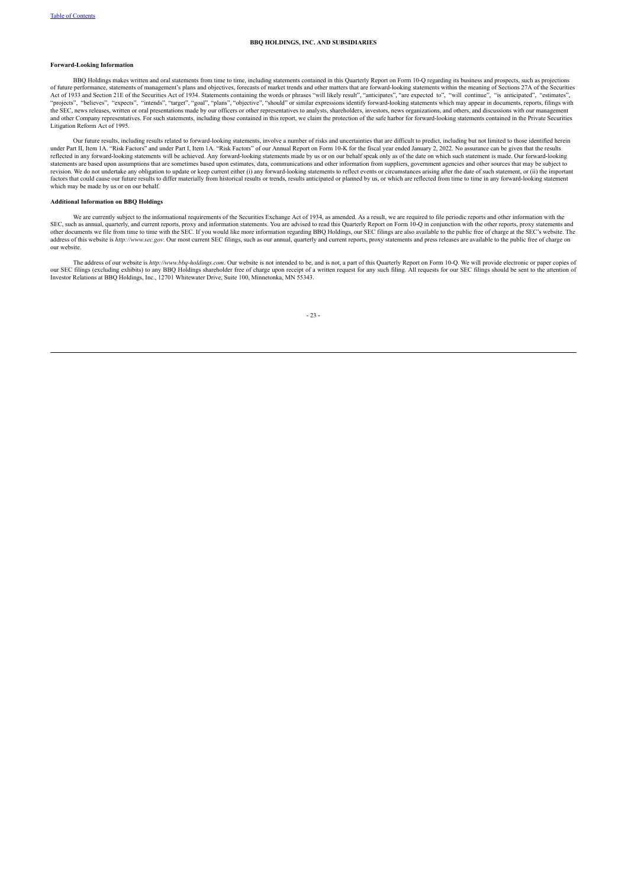#### **Forward-Looking Information**

BBQ Holdings makes written and oral statements from time to time, including statements contained in this Quarterly Report on Form 10-Q regarding its business and prospects, such as projections of future performance, statements of management's plans and objectives, forecasts of market trends and other matters that are forward-looking statements within the meaning of Sections 27A of the Securities<br>Act of 1933 and the SEC, news releases, written or oral presentations made by our officers or other representatives to analysts, shareholders, investors, news organizations, and others, and discussions with our management and other Company representatives. For such statements, including those contained in this report, we claim the protection of the safe harbor for forward-looking statements contained in the Private Securities Litigation Reform Act of 1995.

Our future results, including results related to forward-looking statements, involve a number of risks and uncertainties that are difficult to predict, including but not limited to those identified herein<br>under Part I, Ite reflected in any forward-looking statements will be achieved. Any forward-looking statements made by us or on our behalf speak only as of the date on which such statement is made. Our forward-looking statements are based upon assumptions that are sometimes based upon estimates, data, communications and other information from suppliers, government agencies and other sources that may be subject to<br>revision. We do not und which may be made by us or on our behalf.

#### **Additional Information on BBQ Holdings**

We are currently subject to the informational requirements of the Securities Exchange Act of 1934, as amended. As a result, we are required to file periodic reports and other information with the SEC, such as annual, quarterly, and current reports, proxy and information statements. You are advised to read this Quarterly Report on Form 10-Q in conjunction with the other reports, proxy statements and other documents address of this website is *http://www.sec.gov*. Our most current SEC filings, such as our annual, quarterly and current reports, proxy statements and press releases are available to the public free of charge on address of our website.

The address of our website is http://www.bbq-holdings.com. Our website is not intended to be, and is not, a part of this Quarterly Report on Form 10-Q. We will provide electronic or paper copies of curs SEC filings (exclud Investor Relations at BBQ Holdings, Inc., 12701 Whitewater Drive, Suite 100, Minnetonka, MN 55343.

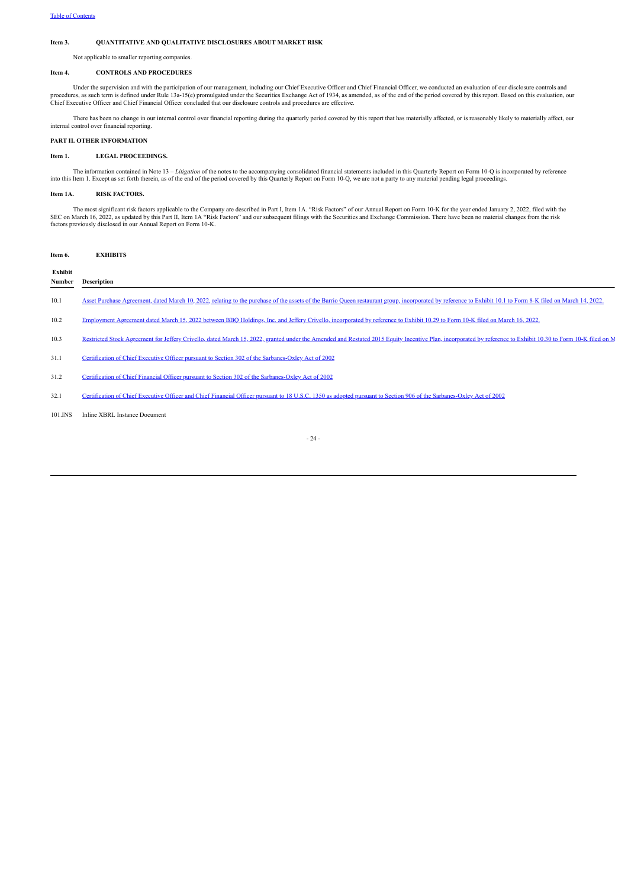#### <span id="page-23-0"></span>**Item 3. QUANTITATIVE AND QUALITATIVE DISCLOSURES ABOUT MARKET RISK**

Not applicable to smaller reporting companies.

#### <span id="page-23-1"></span>**Item 4. CONTROLS AND PROCEDURES**

Under the supervision and with the participation of our management, including our Chief Executive Officer and Chief Financial Officer, we conducted an evaluation of our disclosure controls and<br>procedures, as such term is d Chief Executive Officer and Chief Financial Officer concluded that our disclosure controls and procedures are effective.

There has been no change in our internal control over financial reporting during the quarterly period covered by this report that has materially affected, or is reasonably likely to materially affect, our internal control over financial reporting.

#### <span id="page-23-2"></span>**PART II. OTHER INFORMATION**

#### <span id="page-23-3"></span>**Item 1. LEGAL PROCEEDINGS.**

The information contained in Note 13 - Litigation of the notes to the accompanying consolidated financial statements included in this Quarterly Report on Form 10-Q is incorporated by reference into this Item 1. Except as set forth therein, as of the end of the period covered by this Quarterly Report on Form 10-Q, we are not a party to any material pending legal proceedings.

#### <span id="page-23-4"></span>**Item 1A. RISK FACTORS.**

The most significant risk factors applicable to the Company are described in Part I, Item 1A. "Risk Factors" of our Annual Report on Form 10-K for the year ended January 2, 2022, filed with the SEC on March 16, 2022, as up factors previously disclosed in our Annual Report on Form 10-K.

<span id="page-23-5"></span>

| Item 6. | <b>EXHIBITS</b>                                                                                                                                                                                              |
|---------|--------------------------------------------------------------------------------------------------------------------------------------------------------------------------------------------------------------|
| Exhibit |                                                                                                                                                                                                              |
| Number  | <b>Description</b>                                                                                                                                                                                           |
| 10.1    | Asset Purchase Agreement, dated March 10, 2022, relating to the purchase of the assets of the Barrio Queen restaurant group, incorporated by reference to Exhibit 10.1 to Form 8-K filed on March 14, 2022,  |
| 10.2    | Employment Agreement dated March 15, 2022 between BBO Holdings, Inc. and Jeffery Crivello, incorporated by reference to Exhibit 10.29 to Form 10-K filed on March 16, 2022.                                  |
| 10.3    | Restricted Stock Agreement for Jeffery Crivello, dated March 15, 2022, granted under the Amended and Restated 2015 Equity Incentive Plan, incorporated by reference to Exhibit 10.30 to Form 10-K filed on M |
| 31.1    | Certification of Chief Executive Officer pursuant to Section 302 of the Sarbanes-Oxley Act of 2002                                                                                                           |
| 31.2    | Certification of Chief Financial Officer pursuant to Section 302 of the Sarbanes-Oxley Act of 2002                                                                                                           |
| 32.1    | Certification of Chief Executive Officer and Chief Financial Officer pursuant to 18 U.S.C. 1350 as adopted pursuant to Section 906 of the Sarbanes-Oxley Act of 2002                                         |

101.INS Inline XBRL Instance Document

- 24 -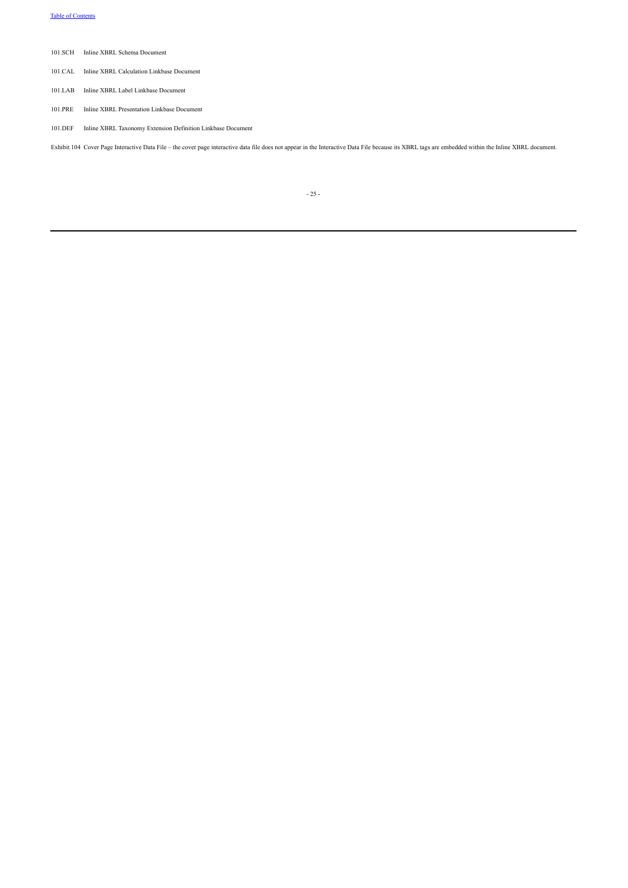- 101.SCH Inline XBRL Schema Document
- 101.CAL Inline XBRL Calculation Linkbase Document
- 101.LAB Inline XBRL Label Linkbase Document
- 101.PRE Inline XBRL Presentation Linkbase Document
- 101.DEF Inline XBRL Taxonomy Extension Definition Linkbase Document

Exhibit 104 Cover Page Interactive Data File – the cover page interactive data file does not appear in the Interactive Data File because its XBRL tags are embedded within the Inline XBRL document.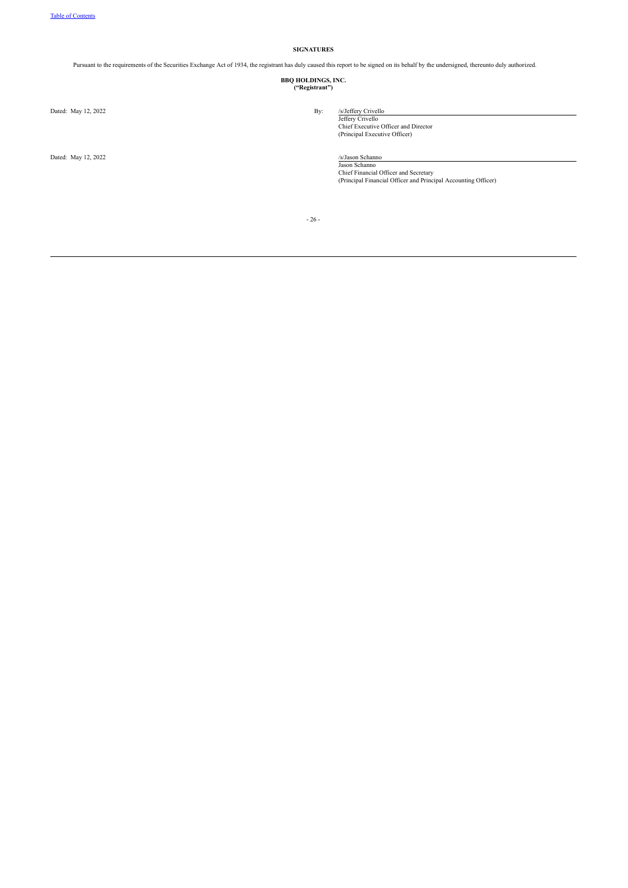#### **SIGNATURES**

<span id="page-25-0"></span>Pursuant to the requirements of the Securities Exchange Act of 1934, the registrant has duly caused this report to be signed on its behalf by the undersigned, thereunto duly authorized.

**BBQ HOLDINGS, INC. ("Registrant")**

Dated: May 12, 2022 By:

Dated: May 12, 2022 /s/Jason Schanno

Jeffery Crivello Chief Executive Officer and Director (Principal Executive Officer)

Jason Schanno Chief Financial Officer and Secretary (Principal Financial Officer and Principal Accounting Officer)

- 26 -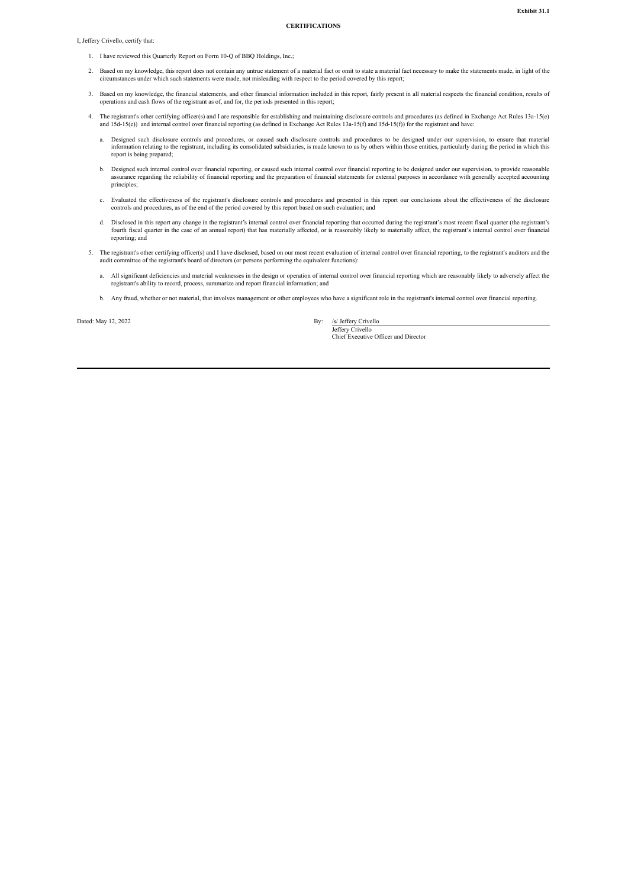#### **CERTIFICATIONS**

<span id="page-26-0"></span>I, Jeffery Crivello, certify that:

- 1. I have reviewed this Quarterly Report on Form 10-Q of BBQ Holdings, Inc.;
- 2. Based on my knowledge, this report does not contain any untrue statement of a material fact or omit to state a material fact necessary to make the statements made, in light of the circumstances under which such statements were made, not misleading with respect to the period covered by this report;
- 3. Based on my knowledge, the financial statements, and other financial information included in this report, fairly present in all material respects the financial condition, results of operations and cash flows of the regi
- 4. The registrant's other certifying officer(s) and I are responsible for establishing and maintaining disclosure controls and procedures (as defined in Exchange Act Rules 13a-15(e) and 15d-15(f)) and internal control over financial reporting (as defined in Exchange Act Rules 13a-15(f) and 15d-15(f)) for the registrant and have:<br>and 15d-15(f)) and internal control over financial reporting (as defined
	- a. Designed such disclosure controls and procedures, or caused such disclosure controls and procedures to be designed under our supervision, to ensure that material information relating to the registrant, including its consolidated subsidiaries, is made known to us by others within those entities, particularly during the period in which this report is being prepared;
	- b. Designed such internal control over financial reporting, or caused such internal control over financial reporting to be designed under our supervision, to provide reasonable assurance regarding the reliability of financial reporting and the preparation of financial statements for external purposes in accordance with generally accepted accounting principles:
	- c. Evaluated the effectiveness of the registrant's disclosure controls and procedures and presented in this report our conclusions about the effectiveness of the disclosure controls and procedures, as of the end of the period covered by this report based on such evaluation; and
	- d. Disclosed in this report any change in the registrant's internal control over financial reporting that occurred during the registrant's most recent fiscal quarter (the registrant's fourth fiscal quarter in the case of an annual report) that has materially affected, or is reasonably likely to materially affect, the registrant's internal control over financial reporting; and
- 5. The registrant's other certifying officer(s) and I have disclosed, based on our most recent evaluation of internal control over financial reporting, to the registrant's auditors and the audit committee of the registrant
	- a. All significant deficiencies and material weaknesses in the design or operation of internal control over financial reporting which are reasonably likely to adversely affect the registrant's ability to record, process, summarize and report financial information; and
	- b. Any fraud, whether or not material, that involves management or other employees who have a significant role in the registrant's internal control over financial reporting.

Dated: May 12, 2022 By: /s/ Jeffery Crivello

Jeffery Crivello

Chief Executive Officer and Director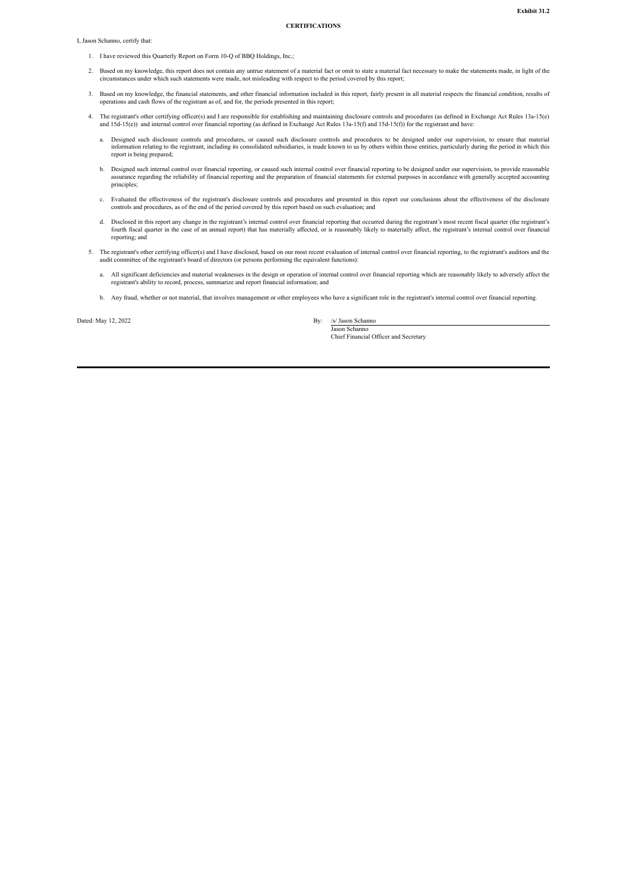#### **CERTIFICATIONS**

<span id="page-27-0"></span>I, Jason Schanno, certify that:

- 1. I have reviewed this Quarterly Report on Form 10-Q of BBQ Holdings, Inc.;
- 2. Based on my knowledge, this report does not contain any untrue statement of a material fact or omit to state a material fact necessary to make the statements made, in light of the circumstances under which such statements were made, not misleading with respect to the period covered by this report;
- 3. Based on my knowledge, the financial statements, and other financial information included in this report, fairly present in all material respects the financial condition, results of operations and cash flows of the regi
- 4. The registrant's other certifying officer(s) and I are responsible for establishing and maintaining disclosure controls and procedures (as defined in Exchange Act Rules 13a-15(e) and 15d-15(f)) and internal control over financial reporting (as defined in Exchange Act Rules 13a-15(f) and 15d-15(f)) for the registrant and have:<br>and 15d-15(f)) and internal control over financial reporting (as defined
	- a. Designed such disclosure controls and procedures, or caused such disclosure controls and procedures to be designed under our supervision, to ensure that material information relating to the registrant, including its consolidated subsidiaries, is made known to us by others within those entities, particularly during the period in which this report is being prepared;
	- b. Designed such internal control over financial reporting, or caused such internal control over financial reporting to be designed under our supervision, to provide reasonable assurance regarding the reliability of financial reporting and the preparation of financial statements for external purposes in accordance with generally accepted accounting principles:
	- c. Evaluated the effectiveness of the registrant's disclosure controls and procedures and presented in this report our conclusions about the effectiveness of the disclosure controls and procedures, as of the end of the per
	- d. Disclosed in this report any change in the registrant's internal control over financial reporting that occurred during the registrant's most recent fiscal quarter (the registrant's most recent fiscal quarter (the regist reporting; and
- 5. The registrant's other certifying officer(s) and I have disclosed, based on our most recent evaluation of internal control over financial reporting, to the registrant's auditors and the audit committee of the registrant's board of directors (or persons performing the equivalent functions):
	- a. All significant deficiencies and material weaknesses in the design or operation of internal control over financial reporting which are reasonably likely to adversely affect the registrant's ability to record, process, summarize and report financial information; and
	- b. Any fraud, whether or not material, that involves management or other employees who have a significant role in the registrant's internal control over financial reporting.

Dated: May 12, 2022 By: /s/ Jason Schanno

Jason Schanno Chief Financial Officer and Secretary